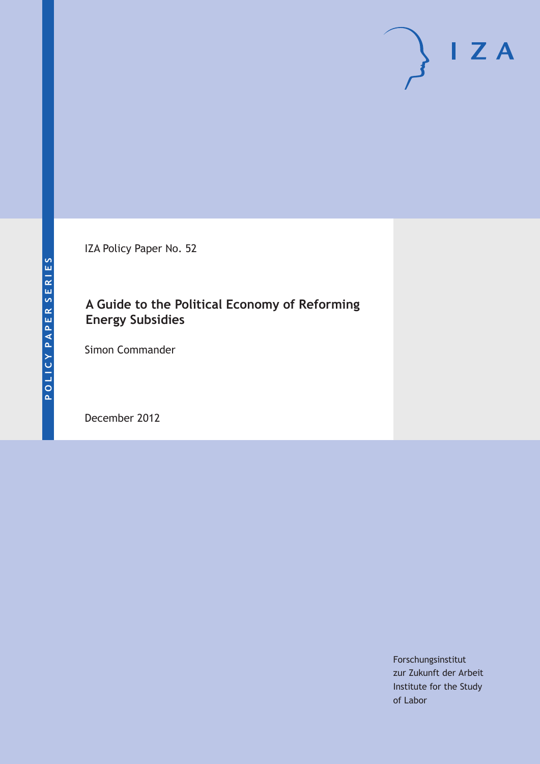IZA Policy Paper No. 52

# **A Guide to the Political Economy of Reforming Energy Subsidies**

Simon Commander

December 2012

Forschungsinstitut zur Zukunft der Arbeit Institute for the Study of Labor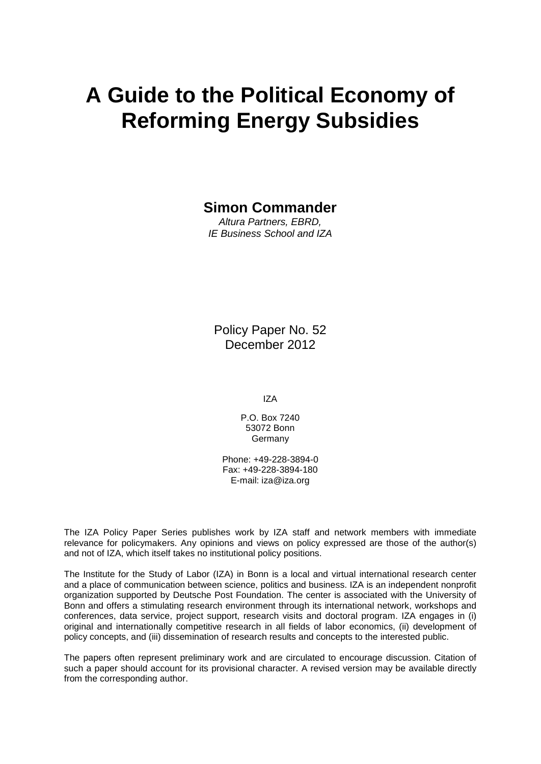# **A Guide to the Political Economy of Reforming Energy Subsidies**

# **Simon Commander**

*Altura Partners, EBRD, IE Business School and IZA*

Policy Paper No. 52 December 2012

IZA

P.O. Box 7240 53072 Bonn Germany

Phone: +49-228-3894-0 Fax: +49-228-3894-180 E-mail: [iza@iza.org](mailto:iza@iza.org)

The IZA Policy Paper Series publishes work by IZA staff and network members with immediate relevance for policymakers. Any opinions and views on policy expressed are those of the author(s) and not of IZA, which itself takes no institutional policy positions.

The Institute for the Study of Labor (IZA) in Bonn is a local and virtual international research center and a place of communication between science, politics and business. IZA is an independent nonprofit organization supported by Deutsche Post Foundation. The center is associated with the University of Bonn and offers a stimulating research environment through its international network, workshops and conferences, data service, project support, research visits and doctoral program. IZA engages in (i) original and internationally competitive research in all fields of labor economics, (ii) development of policy concepts, and (iii) dissemination of research results and concepts to the interested public.

The papers often represent preliminary work and are circulated to encourage discussion. Citation of such a paper should account for its provisional character. A revised version may be available directly from the corresponding author.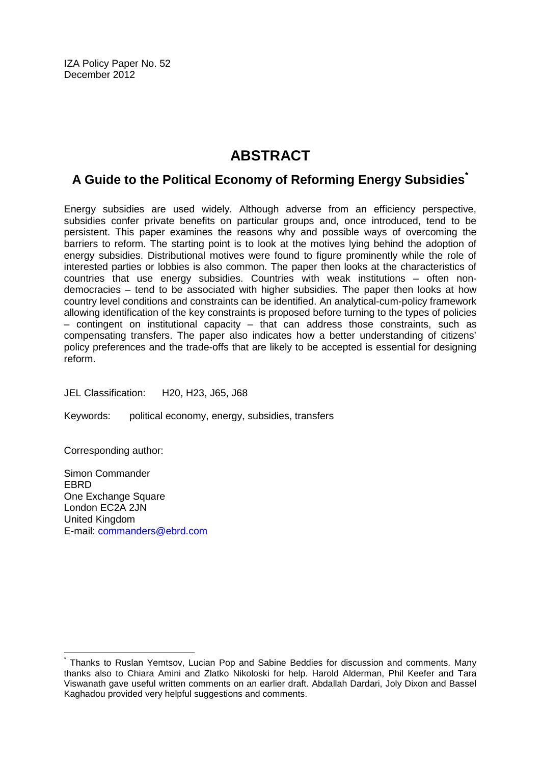IZA Policy Paper No. 52 December 2012

# **ABSTRACT**

# **A Guide to the Political Economy of Reforming Energy Subsidies[\\*](#page-2-0)**

Energy subsidies are used widely. Although adverse from an efficiency perspective, subsidies confer private benefits on particular groups and, once introduced, tend to be persistent. This paper examines the reasons why and possible ways of overcoming the barriers to reform. The starting point is to look at the motives lying behind the adoption of energy subsidies. Distributional motives were found to figure prominently while the role of interested parties or lobbies is also common. The paper then looks at the characteristics of countries that use energy subsidies. Countries with weak institutions – often nondemocracies – tend to be associated with higher subsidies. The paper then looks at how country level conditions and constraints can be identified. An analytical-cum-policy framework allowing identification of the key constraints is proposed before turning to the types of policies – contingent on institutional capacity – that can address those constraints, such as compensating transfers. The paper also indicates how a better understanding of citizens' policy preferences and the trade-offs that are likely to be accepted is essential for designing reform.

JEL Classification: H20, H23, J65, J68

Keywords: political economy, energy, subsidies, transfers

Corresponding author:

Simon Commander EBRD One Exchange Square London EC2A 2JN United Kingdom E-mail: [commanders@ebrd.com](mailto:commanders@ebrd.com)

<span id="page-2-0"></span>Thanks to Ruslan Yemtsov, Lucian Pop and Sabine Beddies for discussion and comments. Many thanks also to Chiara Amini and Zlatko Nikoloski for help. Harold Alderman, Phil Keefer and Tara Viswanath gave useful written comments on an earlier draft. Abdallah Dardari, Joly Dixon and Bassel Kaghadou provided very helpful suggestions and comments.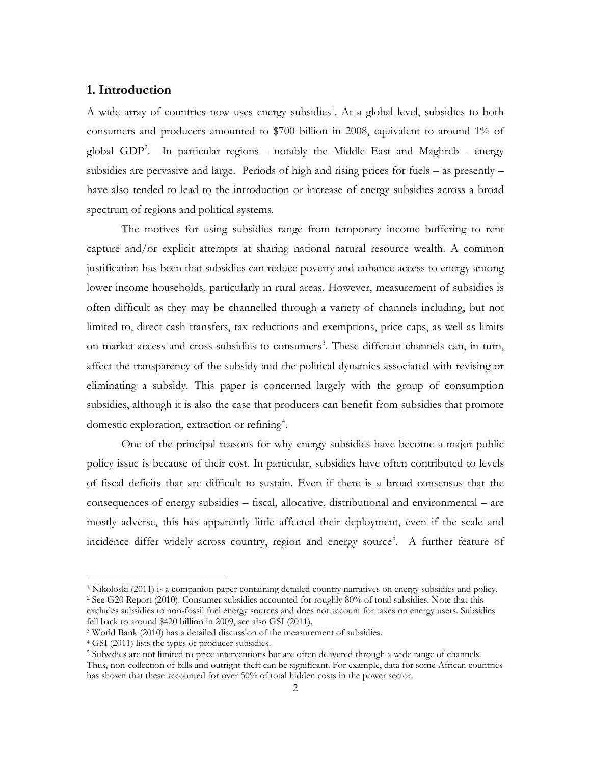### **1. Introduction**

A wide array of countries now uses energy subsidies<sup>1</sup>. At a global level, subsidies to both consumers and producers amounted to \$700 billion in 2008, equivalent to around 1% of global GDP[2](#page-3-0) . In particular regions - notably the Middle East and Maghreb - energy subsidies are pervasive and large. Periods of high and rising prices for fuels – as presently – have also tended to lead to the introduction or increase of energy subsidies across a broad spectrum of regions and political systems.

The motives for using subsidies range from temporary income buffering to rent capture and/or explicit attempts at sharing national natural resource wealth. A common justification has been that subsidies can reduce poverty and enhance access to energy among lower income households, particularly in rural areas. However, measurement of subsidies is often difficult as they may be channelled through a variety of channels including, but not limited to, direct cash transfers, tax reductions and exemptions, price caps, as well as limits on market access and cross-subsidies to consumers<sup>[3](#page-3-1)</sup>. These different channels can, in turn, affect the transparency of the subsidy and the political dynamics associated with revising or eliminating a subsidy. This paper is concerned largely with the group of consumption subsidies, although it is also the case that producers can benefit from subsidies that promote domestic exploration, extraction or refining<sup>[4](#page-3-2)</sup>.

One of the principal reasons for why energy subsidies have become a major public policy issue is because of their cost. In particular, subsidies have often contributed to levels of fiscal deficits that are difficult to sustain. Even if there is a broad consensus that the consequences of energy subsidies – fiscal, allocative, distributional and environmental – are mostly adverse, this has apparently little affected their deployment, even if the scale and incidence differ widely across country, region and energy source<sup>[5](#page-3-3)</sup>. A further feature of

 <sup>1</sup> Nikoloski (2011) is a companion paper containing detailed country narratives on energy subsidies and policy. <sup>2</sup> See G20 Report (2010). Consumer subsidies accounted for roughly 80% of total subsidies. Note that this

<span id="page-3-0"></span>excludes subsidies to non-fossil fuel energy sources and does not account for taxes on energy users. Subsidies fell back to around \$420 billion in 2009, see also GSI (2011).

<span id="page-3-1"></span><sup>3</sup> World Bank (2010) has a detailed discussion of the measurement of subsidies.

<span id="page-3-2"></span><sup>4</sup> GSI (2011) lists the types of producer subsidies.

<span id="page-3-4"></span><span id="page-3-3"></span><sup>&</sup>lt;sup>5</sup> Subsidies are not limited to price interventions but are often delivered through a wide range of channels. Thus, non-collection of bills and outright theft can be significant. For example, data for some African countries has shown that these accounted for over 50% of total hidden costs in the power sector.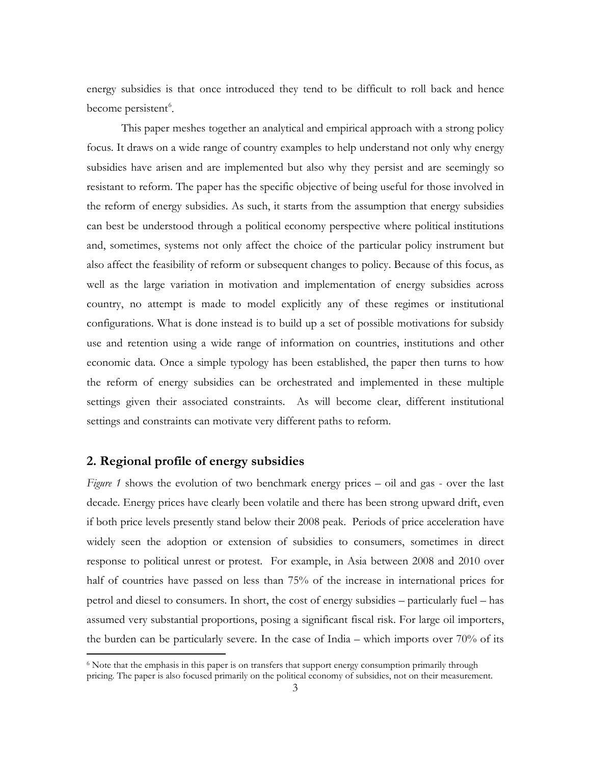energy subsidies is that once introduced they tend to be difficult to roll back and hence become persistent<sup>[6](#page-3-4)</sup>.

This paper meshes together an analytical and empirical approach with a strong policy focus. It draws on a wide range of country examples to help understand not only why energy subsidies have arisen and are implemented but also why they persist and are seemingly so resistant to reform. The paper has the specific objective of being useful for those involved in the reform of energy subsidies. As such, it starts from the assumption that energy subsidies can best be understood through a political economy perspective where political institutions and, sometimes, systems not only affect the choice of the particular policy instrument but also affect the feasibility of reform or subsequent changes to policy. Because of this focus, as well as the large variation in motivation and implementation of energy subsidies across country, no attempt is made to model explicitly any of these regimes or institutional configurations. What is done instead is to build up a set of possible motivations for subsidy use and retention using a wide range of information on countries, institutions and other economic data. Once a simple typology has been established, the paper then turns to how the reform of energy subsidies can be orchestrated and implemented in these multiple settings given their associated constraints. As will become clear, different institutional settings and constraints can motivate very different paths to reform.

#### **2. Regional profile of energy subsidies**

*Figure 1* shows the evolution of two benchmark energy prices – oil and gas - over the last decade. Energy prices have clearly been volatile and there has been strong upward drift, even if both price levels presently stand below their 2008 peak. Periods of price acceleration have widely seen the adoption or extension of subsidies to consumers, sometimes in direct response to political unrest or protest. For example, in Asia between 2008 and 2010 over half of countries have passed on less than 75% of the increase in international prices for petrol and diesel to consumers. In short, the cost of energy subsidies – particularly fuel – has assumed very substantial proportions, posing a significant fiscal risk. For large oil importers, the burden can be particularly severe. In the case of India – which imports over 70% of its

<span id="page-4-0"></span><sup>&</sup>lt;sup>6</sup> Note that the emphasis in this paper is on transfers that support energy consumption primarily through pricing. The paper is also focused primarily on the political economy of subsidies, not on their measurement.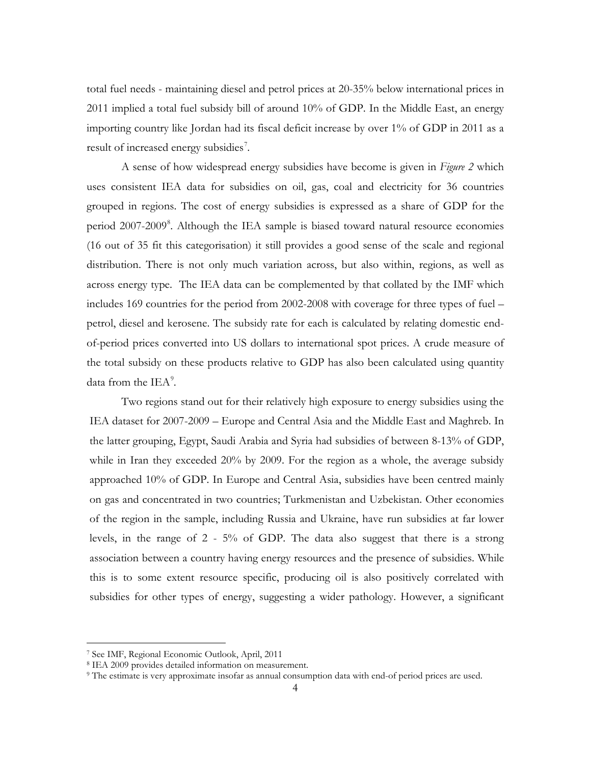total fuel needs - maintaining diesel and petrol prices at 20-35% below international prices in 2011 implied a total fuel subsidy bill of around 10% of GDP. In the Middle East, an energy importing country like Jordan had its fiscal deficit increase by over 1% of GDP in 2011 as a result of increased energy subsidies<sup>[7](#page-4-0)</sup>.

A sense of how widespread energy subsidies have become is given in *Figure 2* which uses consistent IEA data for subsidies on oil, gas, coal and electricity for 36 countries grouped in regions. The cost of energy subsidies is expressed as a share of GDP for the period 2007-2009<sup>[8](#page-5-0)</sup>. Although the IEA sample is biased toward natural resource economies (16 out of 35 fit this categorisation) it still provides a good sense of the scale and regional distribution. There is not only much variation across, but also within, regions, as well as across energy type. The IEA data can be complemented by that collated by the IMF which includes 169 countries for the period from 2002-2008 with coverage for three types of fuel – petrol, diesel and kerosene. The subsidy rate for each is calculated by relating domestic endof-period prices converted into US dollars to international spot prices. A crude measure of the total subsidy on these products relative to GDP has also been calculated using quantity data from the  $IEA<sup>9</sup>$  $IEA<sup>9</sup>$  $IEA<sup>9</sup>$ .

Two regions stand out for their relatively high exposure to energy subsidies using the IEA dataset for 2007-2009 – Europe and Central Asia and the Middle East and Maghreb. In the latter grouping, Egypt, Saudi Arabia and Syria had subsidies of between 8-13% of GDP, while in Iran they exceeded 20% by 2009. For the region as a whole, the average subsidy approached 10% of GDP. In Europe and Central Asia, subsidies have been centred mainly on gas and concentrated in two countries; Turkmenistan and Uzbekistan. Other economies of the region in the sample, including Russia and Ukraine, have run subsidies at far lower levels, in the range of 2 - 5% of GDP. The data also suggest that there is a strong association between a country having energy resources and the presence of subsidies. While this is to some extent resource specific, producing oil is also positively correlated with subsidies for other types of energy, suggesting a wider pathology. However, a significant

<span id="page-5-2"></span> <sup>7</sup> See IMF, Regional Economic Outlook, April, 2011

<span id="page-5-1"></span><span id="page-5-0"></span><sup>8</sup> IEA 2009 provides detailed information on measurement.

<sup>9</sup> The estimate is very approximate insofar as annual consumption data with end-of period prices are used.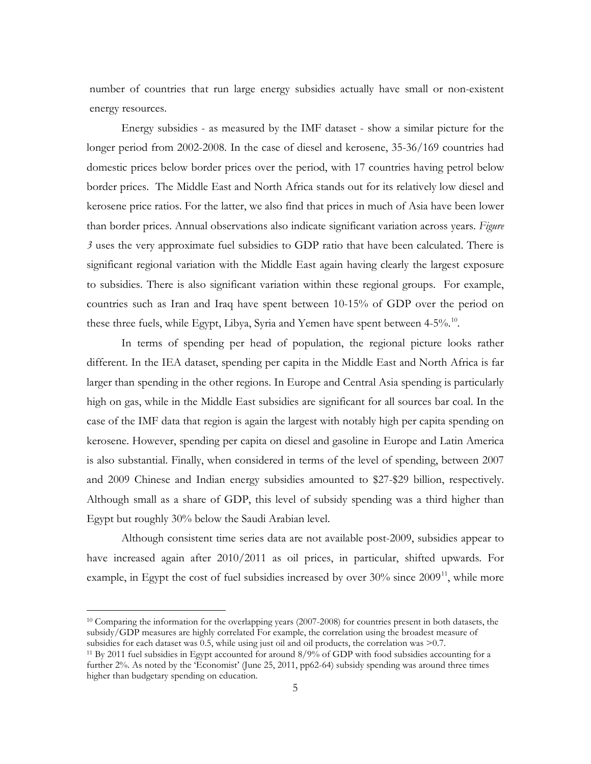number of countries that run large energy subsidies actually have small or non-existent energy resources.

Energy subsidies - as measured by the IMF dataset - show a similar picture for the longer period from 2002-2008. In the case of diesel and kerosene, 35-36/169 countries had domestic prices below border prices over the period, with 17 countries having petrol below border prices. The Middle East and North Africa stands out for its relatively low diesel and kerosene price ratios. For the latter, we also find that prices in much of Asia have been lower than border prices. Annual observations also indicate significant variation across years. *Figure 3* uses the very approximate fuel subsidies to GDP ratio that have been calculated. There is significant regional variation with the Middle East again having clearly the largest exposure to subsidies. There is also significant variation within these regional groups. For example, countries such as Iran and Iraq have spent between 10-15% of GDP over the period on these three fuels, while Egypt, Libya, Syria and Yemen have spent between 4-5%.<sup>[10](#page-5-2)</sup>.

In terms of spending per head of population, the regional picture looks rather different. In the IEA dataset, spending per capita in the Middle East and North Africa is far larger than spending in the other regions. In Europe and Central Asia spending is particularly high on gas, while in the Middle East subsidies are significant for all sources bar coal. In the case of the IMF data that region is again the largest with notably high per capita spending on kerosene. However, spending per capita on diesel and gasoline in Europe and Latin America is also substantial. Finally, when considered in terms of the level of spending, between 2007 and 2009 Chinese and Indian energy subsidies amounted to \$27-\$29 billion, respectively. Although small as a share of GDP, this level of subsidy spending was a third higher than Egypt but roughly 30% below the Saudi Arabian level.

Although consistent time series data are not available post-2009, subsidies appear to have increased again after 2010/2011 as oil prices, in particular, shifted upwards. For example, in Egypt the cost of fuel subsidies increased by over  $30\%$  since  $2009<sup>11</sup>$ , while more

<span id="page-6-1"></span> <sup>10</sup> Comparing the information for the overlapping years (2007-2008) for countries present in both datasets, the subsidy/GDP measures are highly correlated For example, the correlation using the broadest measure of subsidies for each dataset was 0.5, while using just oil and oil products, the correlation was >0.7.

<span id="page-6-0"></span><sup>&</sup>lt;sup>11</sup> By 2011 fuel subsidies in Egypt accounted for around  $8/9\%$  of GDP with food subsidies accounting for a further 2%. As noted by the 'Economist' (June 25, 2011, pp62-64) subsidy spending was around three times higher than budgetary spending on education.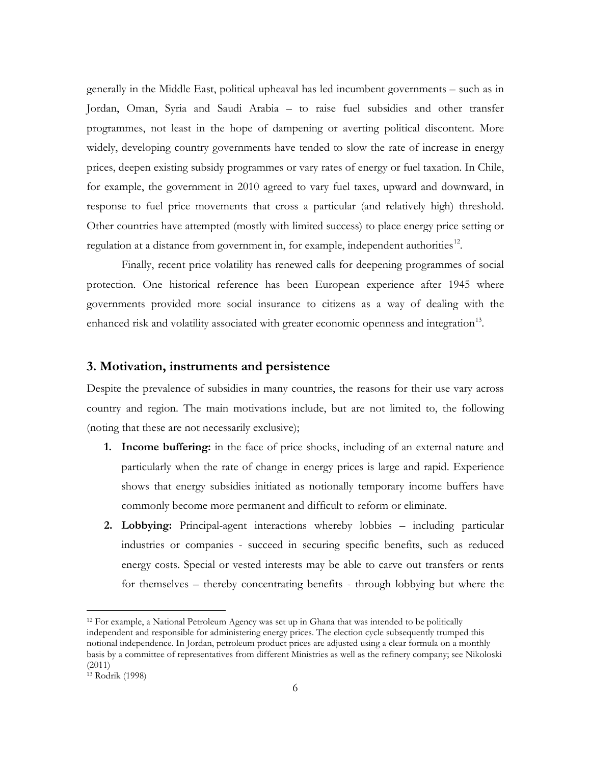generally in the Middle East, political upheaval has led incumbent governments – such as in Jordan, Oman, Syria and Saudi Arabia – to raise fuel subsidies and other transfer programmes, not least in the hope of dampening or averting political discontent. More widely, developing country governments have tended to slow the rate of increase in energy prices, deepen existing subsidy programmes or vary rates of energy or fuel taxation. In Chile, for example, the government in 2010 agreed to vary fuel taxes, upward and downward, in response to fuel price movements that cross a particular (and relatively high) threshold. Other countries have attempted (mostly with limited success) to place energy price setting or regulation at a distance from government in, for example, independent authorities<sup>12</sup>.

Finally, recent price volatility has renewed calls for deepening programmes of social protection. One historical reference has been European experience after 1945 where governments provided more social insurance to citizens as a way of dealing with the enhanced risk and volatility associated with greater economic openness and integration $^{13}$  $^{13}$  $^{13}$ .

#### **3. Motivation, instruments and persistence**

Despite the prevalence of subsidies in many countries, the reasons for their use vary across country and region. The main motivations include, but are not limited to, the following (noting that these are not necessarily exclusive);

- **1. Income buffering:** in the face of price shocks, including of an external nature and particularly when the rate of change in energy prices is large and rapid. Experience shows that energy subsidies initiated as notionally temporary income buffers have commonly become more permanent and difficult to reform or eliminate.
- **2. Lobbying:** Principal-agent interactions whereby lobbies including particular industries or companies - succeed in securing specific benefits, such as reduced energy costs. Special or vested interests may be able to carve out transfers or rents for themselves – thereby concentrating benefits - through lobbying but where the

<span id="page-7-1"></span> <sup>12</sup> For example, a National Petroleum Agency was set up in Ghana that was intended to be politically independent and responsible for administering energy prices. The election cycle subsequently trumped this notional independence. In Jordan, petroleum product prices are adjusted using a clear formula on a monthly basis by a committee of representatives from different Ministries as well as the refinery company; see Nikoloski (2011)

<span id="page-7-0"></span><sup>13</sup> Rodrik (1998)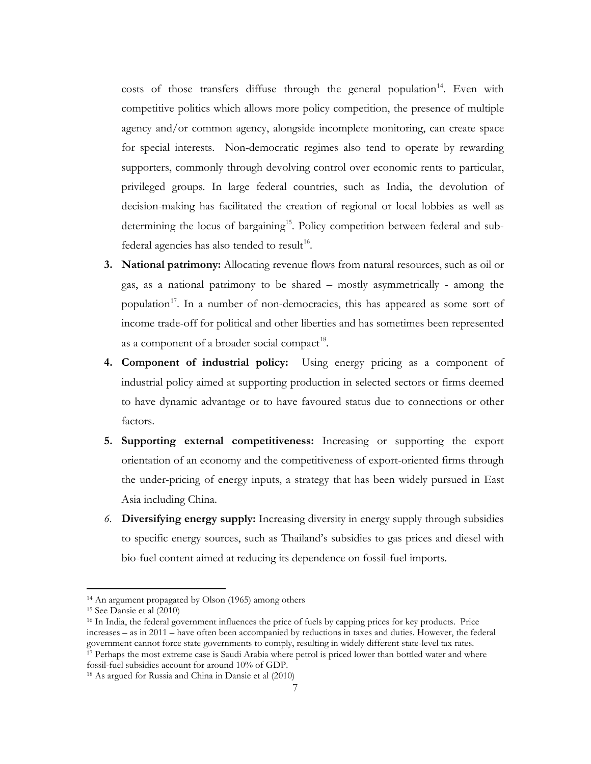costs of those transfers diffuse through the general population<sup>[14](#page-7-1)</sup>. Even with competitive politics which allows more policy competition, the presence of multiple agency and/or common agency, alongside incomplete monitoring, can create space for special interests. Non-democratic regimes also tend to operate by rewarding supporters, commonly through devolving control over economic rents to particular, privileged groups. In large federal countries, such as India, the devolution of decision-making has facilitated the creation of regional or local lobbies as well as determining the locus of bargaining<sup>15</sup>. Policy competition between federal and sub-federal agencies has also tended to result<sup>[16](#page-8-1)</sup>.

- **3. National patrimony:** Allocating revenue flows from natural resources, such as oil or gas, as a national patrimony to be shared – mostly asymmetrically - among the population<sup>[17](#page-8-2)</sup>. In a number of non-democracies, this has appeared as some sort of income trade-off for political and other liberties and has sometimes been represented as a component of a broader social compact<sup>[18](#page-8-3)</sup>.
- **4. Component of industrial policy:** Using energy pricing as a component of industrial policy aimed at supporting production in selected sectors or firms deemed to have dynamic advantage or to have favoured status due to connections or other factors.
- **5. Supporting external competitiveness:** Increasing or supporting the export orientation of an economy and the competitiveness of export-oriented firms through the under-pricing of energy inputs, a strategy that has been widely pursued in East Asia including China.
- *6.* **Diversifying energy supply:** Increasing diversity in energy supply through subsidies to specific energy sources, such as Thailand's subsidies to gas prices and diesel with bio-fuel content aimed at reducing its dependence on fossil-fuel imports.

 <sup>14</sup> An argument propagated by Olson (1965) among others

<span id="page-8-0"></span><sup>15</sup> See Dansie et al (2010)

<span id="page-8-1"></span><sup>16</sup> In India, the federal government influences the price of fuels by capping prices for key products. Price increases – as in 2011 – have often been accompanied by reductions in taxes and duties. However, the federal government cannot force state governments to comply, resulting in widely different state-level tax rates.  $17$  Perhaps the most extreme case is Saudi Arabia where petrol is priced lower than bottled water and where fossil-fuel subsidies account for around 10% of GDP. 18 As argued for Russia and China in Dansie et al (2010)

<span id="page-8-3"></span><span id="page-8-2"></span>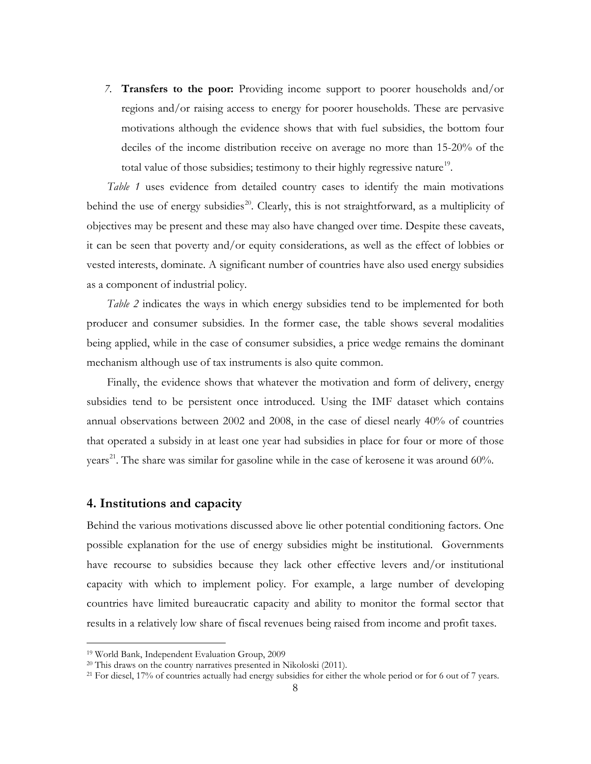*7.* **Transfers to the poor:** Providing income support to poorer households and/or regions and/or raising access to energy for poorer households. These are pervasive motivations although the evidence shows that with fuel subsidies, the bottom four deciles of the income distribution receive on average no more than 15-20% of the total value of those subsidies; testimony to their highly regressive nature<sup>19</sup>.

*Table 1* uses evidence from detailed country cases to identify the main motivations behind the use of energy subsidies<sup>[20](#page-9-0)</sup>. Clearly, this is not straightforward, as a multiplicity of objectives may be present and these may also have changed over time. Despite these caveats, it can be seen that poverty and/or equity considerations, as well as the effect of lobbies or vested interests, dominate. A significant number of countries have also used energy subsidies as a component of industrial policy.

*Table 2* indicates the ways in which energy subsidies tend to be implemented for both producer and consumer subsidies. In the former case, the table shows several modalities being applied, while in the case of consumer subsidies, a price wedge remains the dominant mechanism although use of tax instruments is also quite common.

Finally, the evidence shows that whatever the motivation and form of delivery, energy subsidies tend to be persistent once introduced. Using the IMF dataset which contains annual observations between 2002 and 2008, in the case of diesel nearly 40% of countries that operated a subsidy in at least one year had subsidies in place for four or more of those years<sup>[21](#page-9-1)</sup>. The share was similar for gasoline while in the case of kerosene it was around 60%.

#### **4. Institutions and capacity**

Behind the various motivations discussed above lie other potential conditioning factors. One possible explanation for the use of energy subsidies might be institutional. Governments have recourse to subsidies because they lack other effective levers and/or institutional capacity with which to implement policy. For example, a large number of developing countries have limited bureaucratic capacity and ability to monitor the formal sector that results in a relatively low share of fiscal revenues being raised from income and profit taxes.

<span id="page-9-2"></span> <sup>19</sup> World Bank, Independent Evaluation Group, 2009

<span id="page-9-0"></span><sup>20</sup> This draws on the country narratives presented in Nikoloski (2011).

<span id="page-9-1"></span><sup>&</sup>lt;sup>21</sup> For diesel, 17% of countries actually had energy subsidies for either the whole period or for 6 out of 7 years.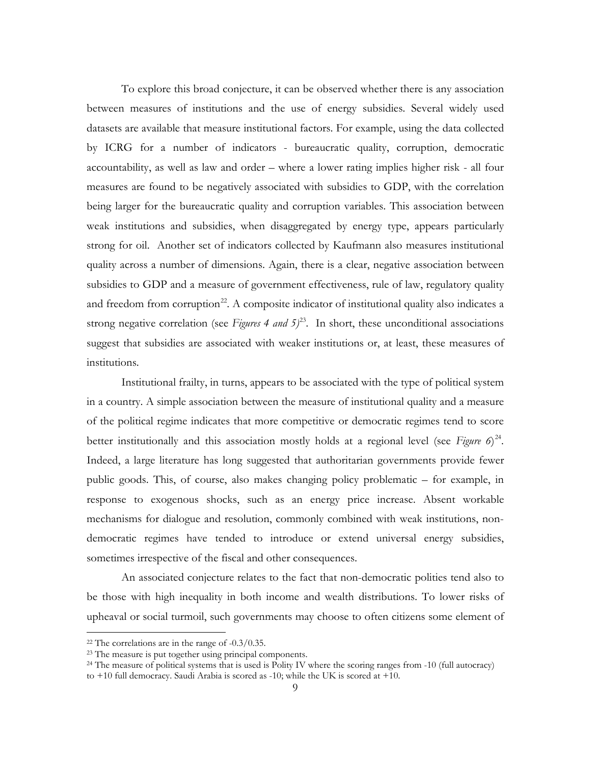To explore this broad conjecture, it can be observed whether there is any association between measures of institutions and the use of energy subsidies. Several widely used datasets are available that measure institutional factors. For example, using the data collected by ICRG for a number of indicators - bureaucratic quality, corruption, democratic accountability, as well as law and order – where a lower rating implies higher risk - all four measures are found to be negatively associated with subsidies to GDP, with the correlation being larger for the bureaucratic quality and corruption variables. This association between weak institutions and subsidies, when disaggregated by energy type, appears particularly strong for oil. Another set of indicators collected by Kaufmann also measures institutional quality across a number of dimensions. Again, there is a clear, negative association between subsidies to GDP and a measure of government effectiveness, rule of law, regulatory quality and freedom from corruption<sup>[22](#page-9-2)</sup>. A composite indicator of institutional quality also indicates a strong negative correlation (see *Figures 4 and 5)* [23](#page-10-0). In short, these unconditional associations suggest that subsidies are associated with weaker institutions or, at least, these measures of institutions.

Institutional frailty, in turns, appears to be associated with the type of political system in a country. A simple association between the measure of institutional quality and a measure of the political regime indicates that more competitive or democratic regimes tend to score better institutionally and this association mostly holds at a regional level (see *Figure 6*)<sup>[24](#page-10-1)</sup>. Indeed, a large literature has long suggested that authoritarian governments provide fewer public goods. This, of course, also makes changing policy problematic – for example, in response to exogenous shocks, such as an energy price increase. Absent workable mechanisms for dialogue and resolution, commonly combined with weak institutions, nondemocratic regimes have tended to introduce or extend universal energy subsidies, sometimes irrespective of the fiscal and other consequences.

An associated conjecture relates to the fact that non-democratic polities tend also to be those with high inequality in both income and wealth distributions. To lower risks of upheaval or social turmoil, such governments may choose to often citizens some element of

<span id="page-10-2"></span><sup>&</sup>lt;sup>22</sup> The correlations are in the range of  $-0.3/0.35$ .

<span id="page-10-0"></span><sup>&</sup>lt;sup>23</sup> The measure is put together using principal components.

<span id="page-10-1"></span><sup>&</sup>lt;sup>24</sup> The measure of political systems that is used is Polity IV where the scoring ranges from -10 (full autocracy) to +10 full democracy. Saudi Arabia is scored as -10; while the UK is scored at +10.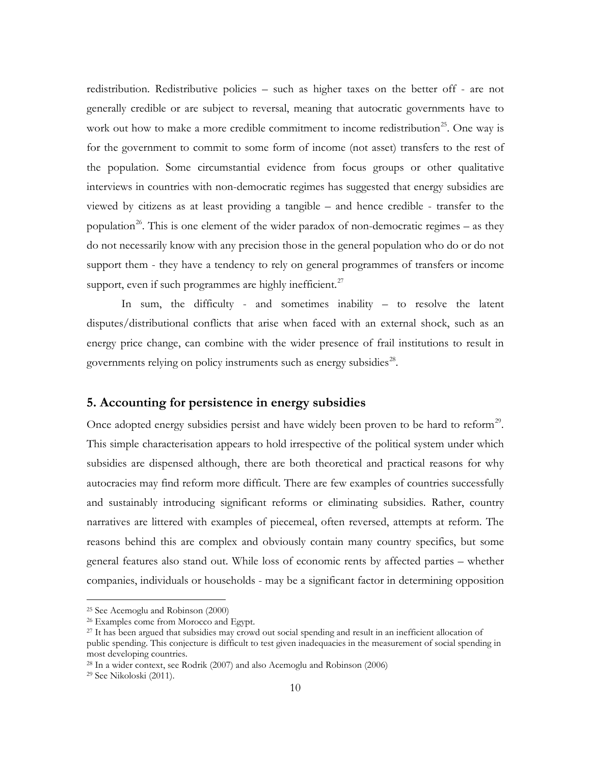redistribution. Redistributive policies – such as higher taxes on the better off - are not generally credible or are subject to reversal, meaning that autocratic governments have to work out how to make a more credible commitment to income redistribution<sup>[25](#page-10-2)</sup>. One way is for the government to commit to some form of income (not asset) transfers to the rest of the population. Some circumstantial evidence from focus groups or other qualitative interviews in countries with non-democratic regimes has suggested that energy subsidies are viewed by citizens as at least providing a tangible – and hence credible - transfer to the population<sup>[26](#page-11-0)</sup>. This is one element of the wider paradox of non-democratic regimes – as they do not necessarily know with any precision those in the general population who do or do not support them - they have a tendency to rely on general programmes of transfers or income support, even if such programmes are highly inefficient.<sup>[27](#page-11-1)</sup>

In sum, the difficulty - and sometimes inability – to resolve the latent disputes/distributional conflicts that arise when faced with an external shock, such as an energy price change, can combine with the wider presence of frail institutions to result in governments relying on policy instruments such as energy subsidies $28$ .

#### **5. Accounting for persistence in energy subsidies**

Once adopted energy subsidies persist and have widely been proven to be hard to reform<sup>[29](#page-11-3)</sup>. This simple characterisation appears to hold irrespective of the political system under which subsidies are dispensed although, there are both theoretical and practical reasons for why autocracies may find reform more difficult. There are few examples of countries successfully and sustainably introducing significant reforms or eliminating subsidies. Rather, country narratives are littered with examples of piecemeal, often reversed, attempts at reform. The reasons behind this are complex and obviously contain many country specifics, but some general features also stand out. While loss of economic rents by affected parties – whether companies, individuals or households - may be a significant factor in determining opposition

 <sup>25</sup> See Acemoglu and Robinson (2000)

<span id="page-11-0"></span><sup>26</sup> Examples come from Morocco and Egypt.

<span id="page-11-1"></span><sup>27</sup> It has been argued that subsidies may crowd out social spending and result in an inefficient allocation of public spending. This conjecture is difficult to test given inadequacies in the measurement of social spending in most developing countries.

<span id="page-11-2"></span><sup>28</sup> In a wider context, see Rodrik (2007) and also Acemoglu and Robinson (2006)

<span id="page-11-3"></span><sup>29</sup> See Nikoloski (2011).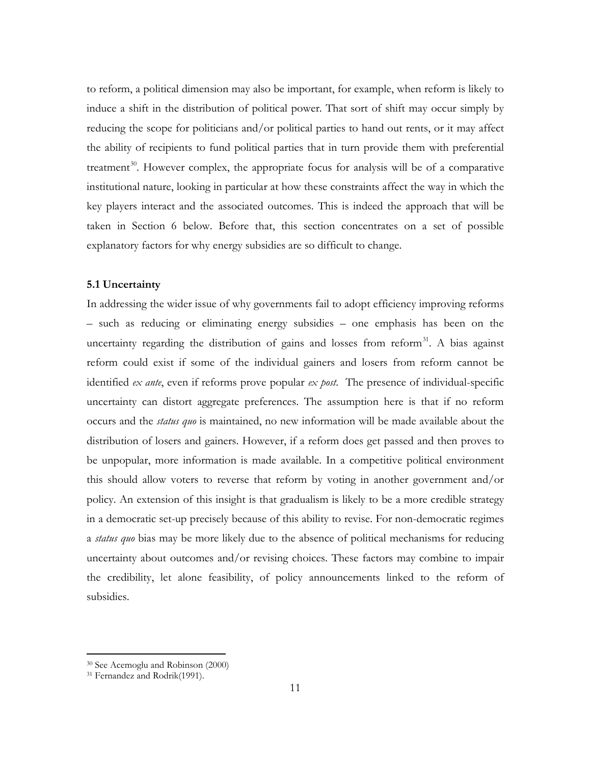to reform, a political dimension may also be important, for example, when reform is likely to induce a shift in the distribution of political power. That sort of shift may occur simply by reducing the scope for politicians and/or political parties to hand out rents, or it may affect the ability of recipients to fund political parties that in turn provide them with preferential treatment<sup>30</sup>. However complex, the appropriate focus for analysis will be of a comparative institutional nature, looking in particular at how these constraints affect the way in which the key players interact and the associated outcomes. This is indeed the approach that will be taken in Section 6 below. Before that, this section concentrates on a set of possible explanatory factors for why energy subsidies are so difficult to change.

#### **5.1 Uncertainty**

In addressing the wider issue of why governments fail to adopt efficiency improving reforms – such as reducing or eliminating energy subsidies – one emphasis has been on the uncertainty regarding the distribution of gains and losses from reform<sup>[31](#page-12-0)</sup>. A bias against reform could exist if some of the individual gainers and losers from reform cannot be identified *ex ante*, even if reforms prove popular *ex post*. The presence of individual-specific uncertainty can distort aggregate preferences. The assumption here is that if no reform occurs and the *status quo* is maintained, no new information will be made available about the distribution of losers and gainers. However, if a reform does get passed and then proves to be unpopular, more information is made available. In a competitive political environment this should allow voters to reverse that reform by voting in another government and/or policy. An extension of this insight is that gradualism is likely to be a more credible strategy in a democratic set-up precisely because of this ability to revise. For non-democratic regimes a *status quo* bias may be more likely due to the absence of political mechanisms for reducing uncertainty about outcomes and/or revising choices. These factors may combine to impair the credibility, let alone feasibility, of policy announcements linked to the reform of subsidies.

<span id="page-12-1"></span> <sup>30</sup> See Acemoglu and Robinson (2000)

<span id="page-12-0"></span><sup>31</sup> Fernandez and Rodrik(1991).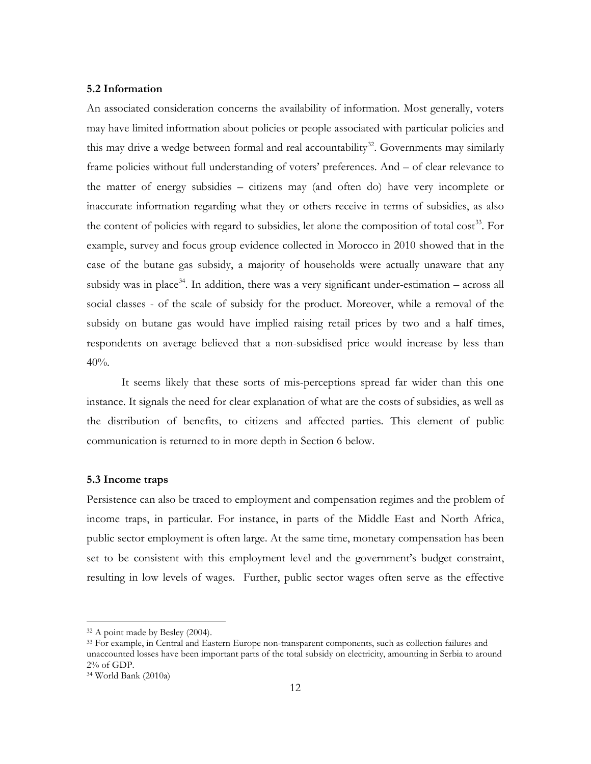#### **5.2 Information**

An associated consideration concerns the availability of information. Most generally, voters may have limited information about policies or people associated with particular policies and this may drive a wedge between formal and real accountability<sup>32</sup>. Governments may similarly frame policies without full understanding of voters' preferences. And – of clear relevance to the matter of energy subsidies – citizens may (and often do) have very incomplete or inaccurate information regarding what they or others receive in terms of subsidies, as also the content of policies with regard to subsidies, let alone the composition of total  $cost^{33}$  $cost^{33}$  $cost^{33}$ . For example, survey and focus group evidence collected in Morocco in 2010 showed that in the case of the butane gas subsidy, a majority of households were actually unaware that any subsidy was in place<sup>[34](#page-13-1)</sup>. In addition, there was a very significant under-estimation – across all social classes - of the scale of subsidy for the product. Moreover, while a removal of the subsidy on butane gas would have implied raising retail prices by two and a half times, respondents on average believed that a non-subsidised price would increase by less than 40%.

It seems likely that these sorts of mis-perceptions spread far wider than this one instance. It signals the need for clear explanation of what are the costs of subsidies, as well as the distribution of benefits, to citizens and affected parties. This element of public communication is returned to in more depth in Section 6 below.

#### **5.3 Income traps**

Persistence can also be traced to employment and compensation regimes and the problem of income traps, in particular. For instance, in parts of the Middle East and North Africa, public sector employment is often large. At the same time, monetary compensation has been set to be consistent with this employment level and the government's budget constraint, resulting in low levels of wages. Further, public sector wages often serve as the effective

<span id="page-13-2"></span> <sup>32</sup> A point made by Besley (2004).

<span id="page-13-0"></span><sup>&</sup>lt;sup>33</sup> For example, in Central and Eastern Europe non-transparent components, such as collection failures and unaccounted losses have been important parts of the total subsidy on electricity, amounting in Serbia to around 2% of GDP.

<span id="page-13-1"></span><sup>34</sup> World Bank (2010a)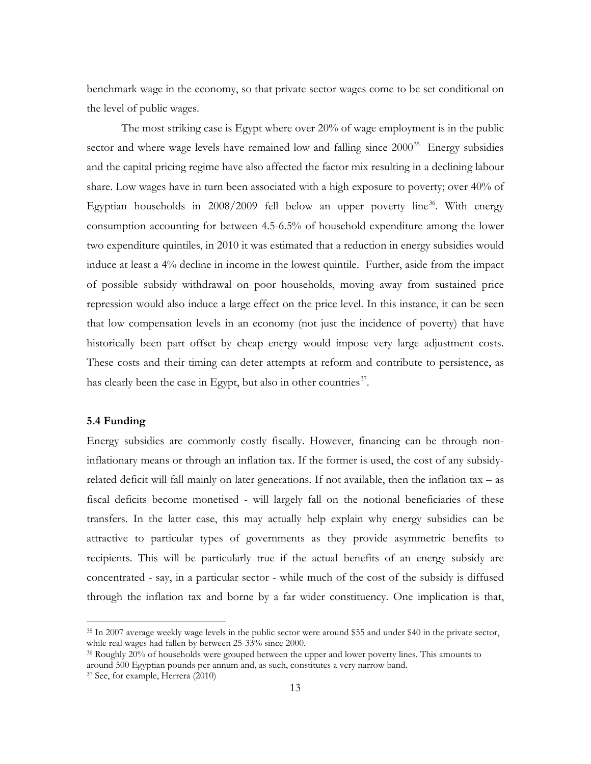benchmark wage in the economy, so that private sector wages come to be set conditional on the level of public wages.

The most striking case is Egypt where over 20% of wage employment is in the public sector and where wage levels have remained low and falling since  $2000^{35}$  $2000^{35}$  $2000^{35}$  Energy subsidies and the capital pricing regime have also affected the factor mix resulting in a declining labour share. Low wages have in turn been associated with a high exposure to poverty; over 40% of Egyptian households in  $2008/2009$  fell below an upper poverty line<sup>[36](#page-14-0)</sup>. With energy consumption accounting for between 4.5-6.5% of household expenditure among the lower two expenditure quintiles, in 2010 it was estimated that a reduction in energy subsidies would induce at least a 4% decline in income in the lowest quintile. Further, aside from the impact of possible subsidy withdrawal on poor households, moving away from sustained price repression would also induce a large effect on the price level. In this instance, it can be seen that low compensation levels in an economy (not just the incidence of poverty) that have historically been part offset by cheap energy would impose very large adjustment costs. These costs and their timing can deter attempts at reform and contribute to persistence, as has clearly been the case in Egypt, but also in other countries<sup>[37](#page-14-1)</sup>.

#### **5.4 Funding**

<span id="page-14-2"></span>Energy subsidies are commonly costly fiscally. However, financing can be through noninflationary means or through an inflation tax. If the former is used, the cost of any subsidyrelated deficit will fall mainly on later generations. If not available, then the inflation tax – as fiscal deficits become monetised - will largely fall on the notional beneficiaries of these transfers. In the latter case, this may actually help explain why energy subsidies can be attractive to particular types of governments as they provide asymmetric benefits to recipients. This will be particularly true if the actual benefits of an energy subsidy are concentrated - say, in a particular sector - while much of the cost of the subsidy is diffused through the inflation tax and borne by a far wider constituency. One implication is that,

 <sup>35</sup> In 2007 average weekly wage levels in the public sector were around \$55 and under \$40 in the private sector, while real wages had fallen by between 25-33% since 2000.

<span id="page-14-0"></span><sup>&</sup>lt;sup>36</sup> Roughly 20% of households were grouped between the upper and lower poverty lines. This amounts to around 500 Egyptian pounds per annum and, as such, constitutes a very narrow band.

<span id="page-14-1"></span><sup>37</sup> See, for example, Herrera (2010)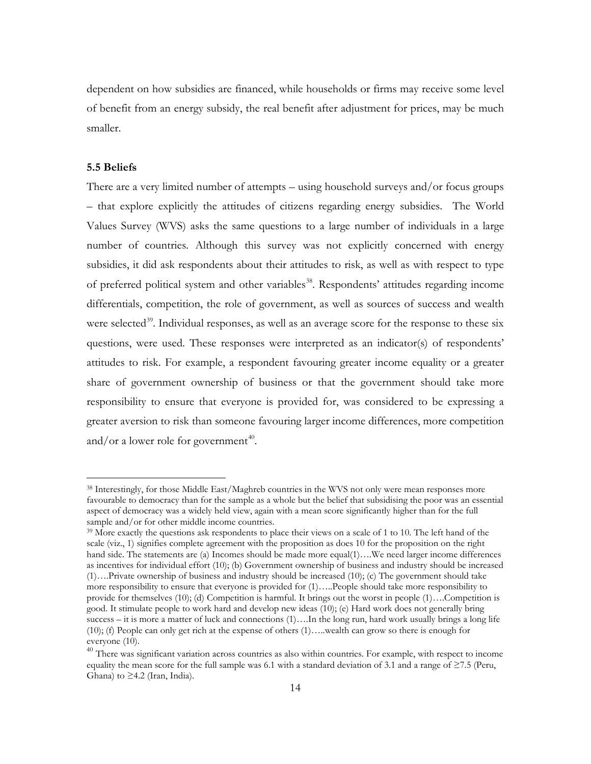dependent on how subsidies are financed, while households or firms may receive some level of benefit from an energy subsidy, the real benefit after adjustment for prices, may be much smaller.

#### **5.5 Beliefs**

There are a very limited number of attempts – using household surveys and/or focus groups – that explore explicitly the attitudes of citizens regarding energy subsidies. The World Values Survey (WVS) asks the same questions to a large number of individuals in a large number of countries. Although this survey was not explicitly concerned with energy subsidies, it did ask respondents about their attitudes to risk, as well as with respect to type of preferred political system and other variables<sup>38</sup>. Respondents' attitudes regarding income differentials, competition, the role of government, as well as sources of success and wealth were selected<sup>39</sup>. Individual responses, as well as an average score for the response to these six questions, were used. These responses were interpreted as an indicator(s) of respondents' attitudes to risk. For example, a respondent favouring greater income equality or a greater share of government ownership of business or that the government should take more responsibility to ensure that everyone is provided for, was considered to be expressing a greater aversion to risk than someone favouring larger income differences, more competition and/or a lower role for government<sup>40</sup>.

 <sup>38</sup> Interestingly, for those Middle East/Maghreb countries in the WVS not only were mean responses more favourable to democracy than for the sample as a whole but the belief that subsidising the poor was an essential aspect of democracy was a widely held view, again with a mean score significantly higher than for the full sample and/or for other middle income countries.

<span id="page-15-0"></span><sup>&</sup>lt;sup>39</sup> More exactly the questions ask respondents to place their views on a scale of 1 to 10. The left hand of the scale (viz., 1) signifies complete agreement with the proposition as does 10 for the proposition on the right hand side. The statements are (a) Incomes should be made more equal(1)….We need larger income differences as incentives for individual effort (10); (b) Government ownership of business and industry should be increased (1)….Private ownership of business and industry should be increased (10); (c) The government should take more responsibility to ensure that everyone is provided for (1)…..People should take more responsibility to provide for themselves (10); (d) Competition is harmful. It brings out the worst in people (1)….Competition is good. It stimulate people to work hard and develop new ideas (10); (e) Hard work does not generally bring success – it is more a matter of luck and connections (1)….In the long run, hard work usually brings a long life (10); (f) People can only get rich at the expense of others (1)…..wealth can grow so there is enough for everyone (10).

<span id="page-15-2"></span><span id="page-15-1"></span><sup>&</sup>lt;sup>40</sup> There was significant variation across countries as also within countries. For example, with respect to income equality the mean score for the full sample was 6.1 with a standard deviation of 3.1 and a range of  $\geq$ 7.5 (Peru, Ghana) to  $\geq$ 4.2 (Iran, India).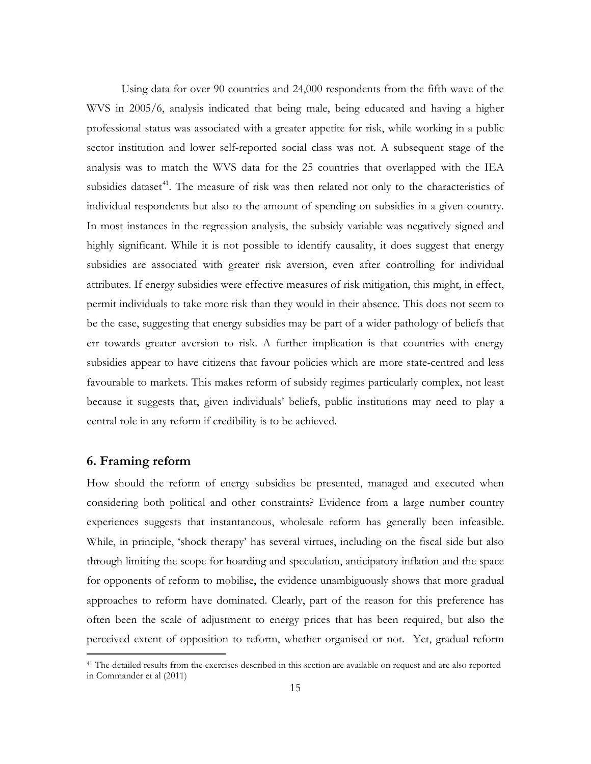Using data for over 90 countries and 24,000 respondents from the fifth wave of the WVS in 2005/6, analysis indicated that being male, being educated and having a higher professional status was associated with a greater appetite for risk, while working in a public sector institution and lower self-reported social class was not. A subsequent stage of the analysis was to match the WVS data for the 25 countries that overlapped with the IEA subsidies dataset<sup>41</sup>. The measure of risk was then related not only to the characteristics of individual respondents but also to the amount of spending on subsidies in a given country. In most instances in the regression analysis, the subsidy variable was negatively signed and highly significant. While it is not possible to identify causality, it does suggest that energy subsidies are associated with greater risk aversion, even after controlling for individual attributes. If energy subsidies were effective measures of risk mitigation, this might, in effect, permit individuals to take more risk than they would in their absence. This does not seem to be the case, suggesting that energy subsidies may be part of a wider pathology of beliefs that err towards greater aversion to risk. A further implication is that countries with energy subsidies appear to have citizens that favour policies which are more state-centred and less favourable to markets. This makes reform of subsidy regimes particularly complex, not least because it suggests that, given individuals' beliefs, public institutions may need to play a central role in any reform if credibility is to be achieved.

#### **6. Framing reform**

How should the reform of energy subsidies be presented, managed and executed when considering both political and other constraints? Evidence from a large number country experiences suggests that instantaneous, wholesale reform has generally been infeasible. While, in principle, 'shock therapy' has several virtues, including on the fiscal side but also through limiting the scope for hoarding and speculation, anticipatory inflation and the space for opponents of reform to mobilise, the evidence unambiguously shows that more gradual approaches to reform have dominated. Clearly, part of the reason for this preference has often been the scale of adjustment to energy prices that has been required, but also the perceived extent of opposition to reform, whether organised or not. Yet, gradual reform

<span id="page-16-0"></span><sup>&</sup>lt;sup>41</sup> The detailed results from the exercises described in this section are available on request and are also reported in Commander et al (2011)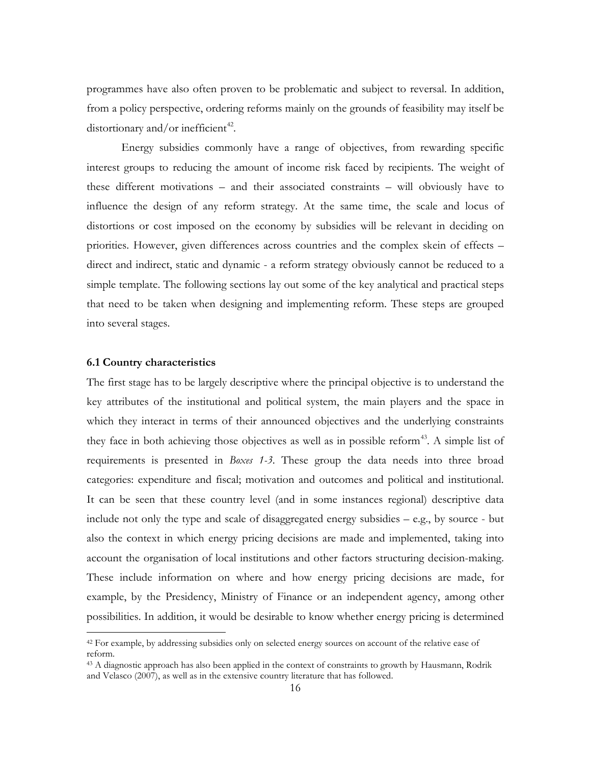programmes have also often proven to be problematic and subject to reversal. In addition, from a policy perspective, ordering reforms mainly on the grounds of feasibility may itself be distortionary and/or inefficient<sup>42</sup>.

Energy subsidies commonly have a range of objectives, from rewarding specific interest groups to reducing the amount of income risk faced by recipients. The weight of these different motivations – and their associated constraints – will obviously have to influence the design of any reform strategy. At the same time, the scale and locus of distortions or cost imposed on the economy by subsidies will be relevant in deciding on priorities. However, given differences across countries and the complex skein of effects – direct and indirect, static and dynamic - a reform strategy obviously cannot be reduced to a simple template. The following sections lay out some of the key analytical and practical steps that need to be taken when designing and implementing reform. These steps are grouped into several stages.

#### **6.1 Country characteristics**

The first stage has to be largely descriptive where the principal objective is to understand the key attributes of the institutional and political system, the main players and the space in which they interact in terms of their announced objectives and the underlying constraints they face in both achieving those objectives as well as in possible reform<sup>43</sup>. A simple list of requirements is presented in *Boxes 1-3*. These group the data needs into three broad categories: expenditure and fiscal; motivation and outcomes and political and institutional. It can be seen that these country level (and in some instances regional) descriptive data include not only the type and scale of disaggregated energy subsidies – e.g., by source - but also the context in which energy pricing decisions are made and implemented, taking into account the organisation of local institutions and other factors structuring decision-making. These include information on where and how energy pricing decisions are made, for example, by the Presidency, Ministry of Finance or an independent agency, among other possibilities. In addition, it would be desirable to know whether energy pricing is determined

<span id="page-17-1"></span><sup>&</sup>lt;sup>42</sup> For example, by addressing subsidies only on selected energy sources on account of the relative ease of reform.<br><sup>43</sup> A diagnostic approach has also been applied in the context of constraints to growth by Hausmann, Rodrik

<span id="page-17-0"></span>and Velasco (2007), as well as in the extensive country literature that has followed.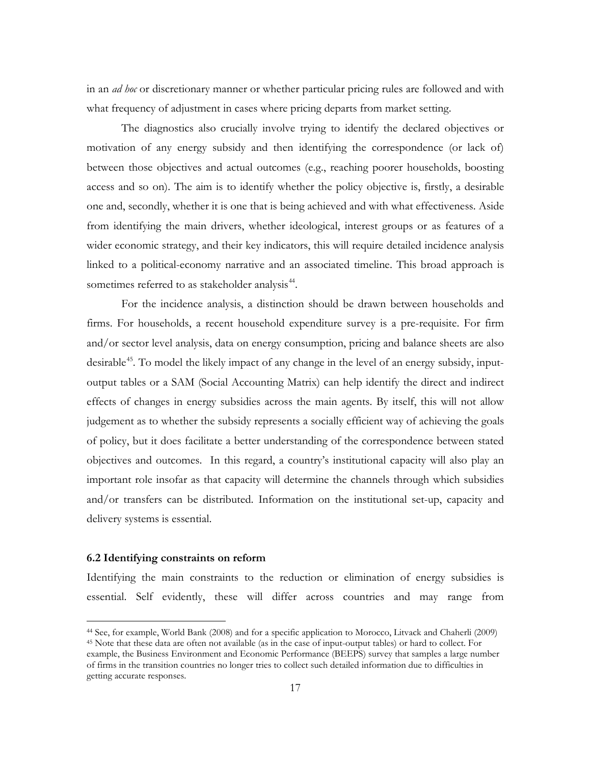in an *ad hoc* or discretionary manner or whether particular pricing rules are followed and with what frequency of adjustment in cases where pricing departs from market setting.

The diagnostics also crucially involve trying to identify the declared objectives or motivation of any energy subsidy and then identifying the correspondence (or lack of) between those objectives and actual outcomes (e.g., reaching poorer households, boosting access and so on). The aim is to identify whether the policy objective is, firstly, a desirable one and, secondly, whether it is one that is being achieved and with what effectiveness. Aside from identifying the main drivers, whether ideological, interest groups or as features of a wider economic strategy, and their key indicators, this will require detailed incidence analysis linked to a political-economy narrative and an associated timeline. This broad approach is sometimes referred to as stakeholder analysis<sup>44</sup>.

For the incidence analysis, a distinction should be drawn between households and firms. For households, a recent household expenditure survey is a pre-requisite. For firm and/or sector level analysis, data on energy consumption, pricing and balance sheets are also desirable<sup>45</sup>. To model the likely impact of any change in the level of an energy subsidy, inputoutput tables or a SAM (Social Accounting Matrix) can help identify the direct and indirect effects of changes in energy subsidies across the main agents. By itself, this will not allow judgement as to whether the subsidy represents a socially efficient way of achieving the goals of policy, but it does facilitate a better understanding of the correspondence between stated objectives and outcomes. In this regard, a country's institutional capacity will also play an important role insofar as that capacity will determine the channels through which subsidies and/or transfers can be distributed. Information on the institutional set-up, capacity and delivery systems is essential.

#### **6.2 Identifying constraints on reform**

Identifying the main constraints to the reduction or elimination of energy subsidies is essential. Self evidently, these will differ across countries and may range from

<span id="page-18-1"></span><span id="page-18-0"></span> <sup>44</sup> See, for example, World Bank (2008) and for a specific application to Morocco, Litvack and Chaherli (2009) <sup>45</sup> Note that these data are often not available (as in the case of input-output tables) or hard to collect. For example, the Business Environment and Economic Performance (BEEPS) survey that samples a large number of firms in the transition countries no longer tries to collect such detailed information due to difficulties in getting accurate responses.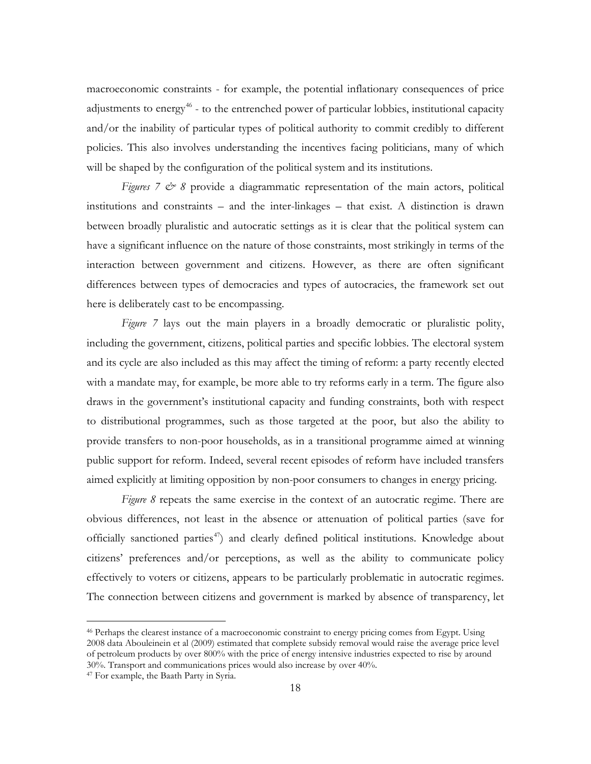macroeconomic constraints - for example, the potential inflationary consequences of price adjustments to energy<sup> $46$ </sup> - to the entrenched power of particular lobbies, institutional capacity and/or the inability of particular types of political authority to commit credibly to different policies. This also involves understanding the incentives facing politicians, many of which will be shaped by the configuration of the political system and its institutions.

*Figures 7*  $\circledcirc$  8 provide a diagrammatic representation of the main actors, political institutions and constraints – and the inter-linkages – that exist. A distinction is drawn between broadly pluralistic and autocratic settings as it is clear that the political system can have a significant influence on the nature of those constraints, most strikingly in terms of the interaction between government and citizens. However, as there are often significant differences between types of democracies and types of autocracies, the framework set out here is deliberately cast to be encompassing.

*Figure 7* lays out the main players in a broadly democratic or pluralistic polity, including the government, citizens, political parties and specific lobbies. The electoral system and its cycle are also included as this may affect the timing of reform: a party recently elected with a mandate may, for example, be more able to try reforms early in a term. The figure also draws in the government's institutional capacity and funding constraints, both with respect to distributional programmes, such as those targeted at the poor, but also the ability to provide transfers to non-poor households, as in a transitional programme aimed at winning public support for reform. Indeed, several recent episodes of reform have included transfers aimed explicitly at limiting opposition by non-poor consumers to changes in energy pricing.

*Figure 8* repeats the same exercise in the context of an autocratic regime. There are obvious differences, not least in the absence or attenuation of political parties (save for officially sanctioned parties<sup>[47](#page-19-0)</sup>) and clearly defined political institutions. Knowledge about citizens' preferences and/or perceptions, as well as the ability to communicate policy effectively to voters or citizens, appears to be particularly problematic in autocratic regimes. The connection between citizens and government is marked by absence of transparency, let

<span id="page-19-1"></span> <sup>46</sup> Perhaps the clearest instance of a macroeconomic constraint to energy pricing comes from Egypt. Using 2008 data Abouleinein et al (2009) estimated that complete subsidy removal would raise the average price level of petroleum products by over 800% with the price of energy intensive industries expected to rise by around 30%. Transport and communications prices would also increase by over 40%.

<span id="page-19-0"></span><sup>47</sup> For example, the Baath Party in Syria.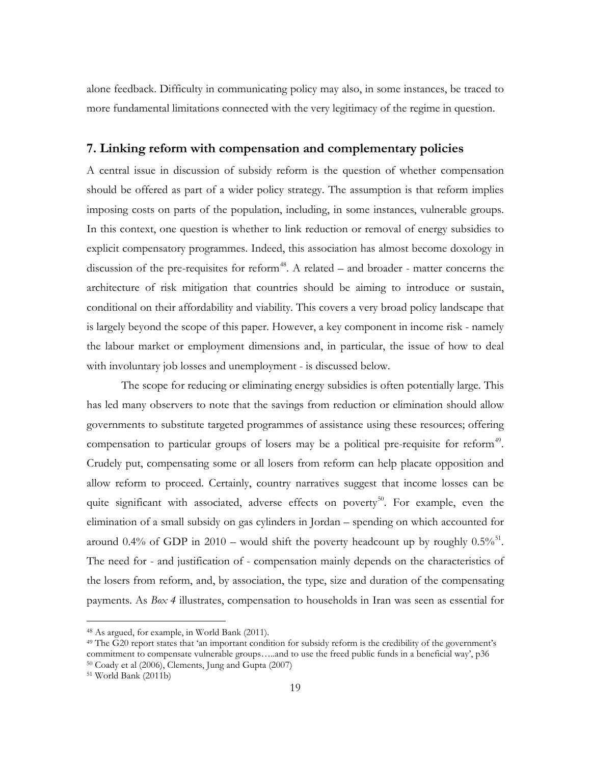alone feedback. Difficulty in communicating policy may also, in some instances, be traced to more fundamental limitations connected with the very legitimacy of the regime in question.

#### **7. Linking reform with compensation and complementary policies**

A central issue in discussion of subsidy reform is the question of whether compensation should be offered as part of a wider policy strategy. The assumption is that reform implies imposing costs on parts of the population, including, in some instances, vulnerable groups. In this context, one question is whether to link reduction or removal of energy subsidies to explicit compensatory programmes. Indeed, this association has almost become doxology in discussion of the pre-requisites for reform<sup>48</sup>. A related – and broader - matter concerns the architecture of risk mitigation that countries should be aiming to introduce or sustain, conditional on their affordability and viability. This covers a very broad policy landscape that is largely beyond the scope of this paper. However, a key component in income risk - namely the labour market or employment dimensions and, in particular, the issue of how to deal with involuntary job losses and unemployment - is discussed below.

The scope for reducing or eliminating energy subsidies is often potentially large. This has led many observers to note that the savings from reduction or elimination should allow governments to substitute targeted programmes of assistance using these resources; offering compensation to particular groups of losers may be a political pre-requisite for reform<sup>[49](#page-20-0)</sup>. Crudely put, compensating some or all losers from reform can help placate opposition and allow reform to proceed. Certainly, country narratives suggest that income losses can be quite significant with associated, adverse effects on poverty<sup>50</sup>. For example, even the elimination of a small subsidy on gas cylinders in Jordan – spending on which accounted for around 0.4% of GDP in 2010 – would shift the poverty headcount up by roughly  $0.5\%$ <sup>[51](#page-20-2)</sup>. The need for - and justification of - compensation mainly depends on the characteristics of the losers from reform, and, by association, the type, size and duration of the compensating payments. As *Box 4* illustrates, compensation to households in Iran was seen as essential for

<span id="page-20-3"></span> <sup>48</sup> As argued, for example, in World Bank (2011).

<span id="page-20-0"></span> $49$  The G20 report states that 'an important condition for subsidy reform is the credibility of the government's commitment to compensate vulnerable groups…..and to use the freed public funds in a beneficial way', p36  $50$  Coady et al (2006), Clements, Jung and Gupta (2007)  $51$  World Bank (2011b)

<span id="page-20-2"></span><span id="page-20-1"></span>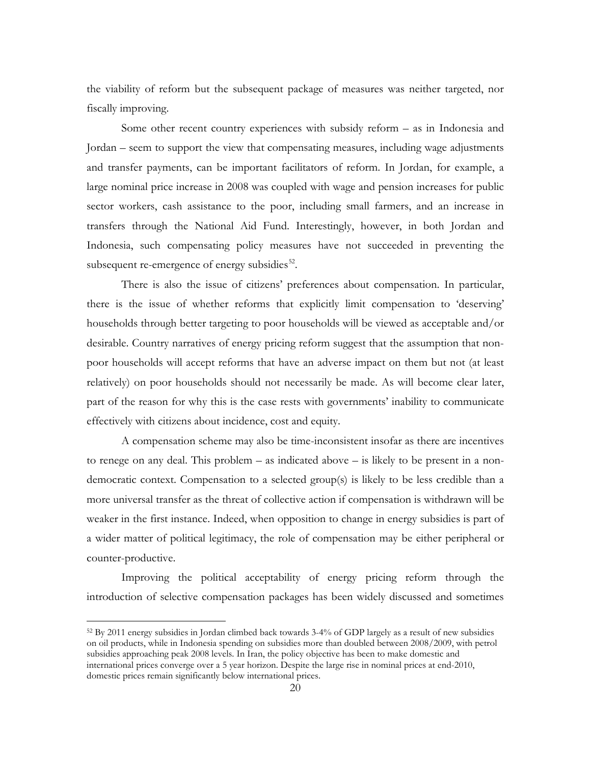the viability of reform but the subsequent package of measures was neither targeted, nor fiscally improving.

Some other recent country experiences with subsidy reform – as in Indonesia and Jordan – seem to support the view that compensating measures, including wage adjustments and transfer payments, can be important facilitators of reform. In Jordan, for example, a large nominal price increase in 2008 was coupled with wage and pension increases for public sector workers, cash assistance to the poor, including small farmers, and an increase in transfers through the National Aid Fund. Interestingly, however, in both Jordan and Indonesia, such compensating policy measures have not succeeded in preventing the subsequent re-emergence of energy subsidies $^{52}$ .

There is also the issue of citizens' preferences about compensation. In particular, there is the issue of whether reforms that explicitly limit compensation to 'deserving' households through better targeting to poor households will be viewed as acceptable and/or desirable. Country narratives of energy pricing reform suggest that the assumption that nonpoor households will accept reforms that have an adverse impact on them but not (at least relatively) on poor households should not necessarily be made. As will become clear later, part of the reason for why this is the case rests with governments' inability to communicate effectively with citizens about incidence, cost and equity.

A compensation scheme may also be time-inconsistent insofar as there are incentives to renege on any deal. This problem – as indicated above – is likely to be present in a nondemocratic context. Compensation to a selected group(s) is likely to be less credible than a more universal transfer as the threat of collective action if compensation is withdrawn will be weaker in the first instance. Indeed, when opposition to change in energy subsidies is part of a wider matter of political legitimacy, the role of compensation may be either peripheral or counter-productive.

Improving the political acceptability of energy pricing reform through the introduction of selective compensation packages has been widely discussed and sometimes

<span id="page-21-0"></span> <sup>52</sup> By 2011 energy subsidies in Jordan climbed back towards 3-4% of GDP largely as a result of new subsidies on oil products, while in Indonesia spending on subsidies more than doubled between 2008/2009, with petrol subsidies approaching peak 2008 levels. In Iran, the policy objective has been to make domestic and international prices converge over a 5 year horizon. Despite the large rise in nominal prices at end-2010, domestic prices remain significantly below international prices.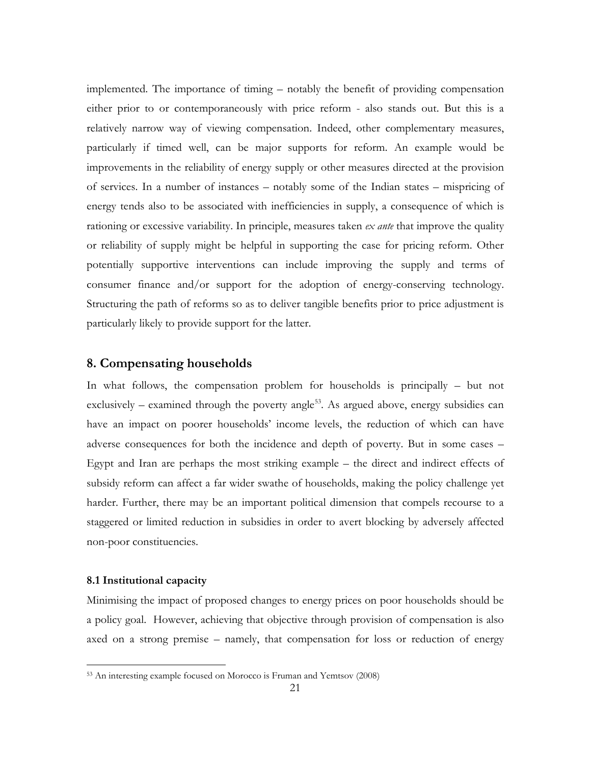implemented. The importance of timing – notably the benefit of providing compensation either prior to or contemporaneously with price reform - also stands out. But this is a relatively narrow way of viewing compensation. Indeed, other complementary measures, particularly if timed well, can be major supports for reform. An example would be improvements in the reliability of energy supply or other measures directed at the provision of services. In a number of instances – notably some of the Indian states – mispricing of energy tends also to be associated with inefficiencies in supply, a consequence of which is rationing or excessive variability. In principle, measures taken *ex ante* that improve the quality or reliability of supply might be helpful in supporting the case for pricing reform. Other potentially supportive interventions can include improving the supply and terms of consumer finance and/or support for the adoption of energy-conserving technology. Structuring the path of reforms so as to deliver tangible benefits prior to price adjustment is particularly likely to provide support for the latter.

#### **8. Compensating households**

In what follows, the compensation problem for households is principally – but not exclusively – examined through the poverty angle<sup>53</sup>. As argued above, energy subsidies can have an impact on poorer households' income levels, the reduction of which can have adverse consequences for both the incidence and depth of poverty. But in some cases – Egypt and Iran are perhaps the most striking example – the direct and indirect effects of subsidy reform can affect a far wider swathe of households, making the policy challenge yet harder. Further, there may be an important political dimension that compels recourse to a staggered or limited reduction in subsidies in order to avert blocking by adversely affected non-poor constituencies.

#### **8.1 Institutional capacity**

Minimising the impact of proposed changes to energy prices on poor households should be a policy goal. However, achieving that objective through provision of compensation is also axed on a strong premise – namely, that compensation for loss or reduction of energy

<span id="page-22-0"></span> <sup>53</sup> An interesting example focused on Morocco is Fruman and Yemtsov (2008)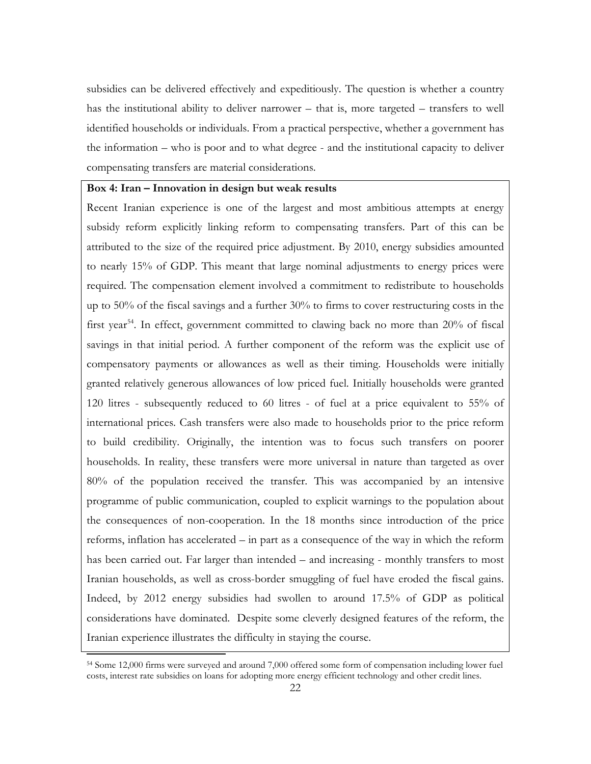subsidies can be delivered effectively and expeditiously. The question is whether a country has the institutional ability to deliver narrower – that is, more targeted – transfers to well identified households or individuals. From a practical perspective, whether a government has the information – who is poor and to what degree - and the institutional capacity to deliver compensating transfers are material considerations.

#### **Box 4: Iran – Innovation in design but weak results**

Recent Iranian experience is one of the largest and most ambitious attempts at energy subsidy reform explicitly linking reform to compensating transfers. Part of this can be attributed to the size of the required price adjustment. By 2010, energy subsidies amounted to nearly 15% of GDP. This meant that large nominal adjustments to energy prices were required. The compensation element involved a commitment to redistribute to households up to  $50\%$  of the fiscal savings and a further  $30\%$  to firms to cover restructuring costs in the first year<sup>54</sup>. In effect, government committed to clawing back no more than  $20\%$  of fiscal savings in that initial period. A further component of the reform was the explicit use of compensatory payments or allowances as well as their timing. Households were initially granted relatively generous allowances of low priced fuel. Initially households were granted 120 litres - subsequently reduced to 60 litres - of fuel at a price equivalent to 55% of international prices. Cash transfers were also made to households prior to the price reform to build credibility. Originally, the intention was to focus such transfers on poorer households. In reality, these transfers were more universal in nature than targeted as over 80% of the population received the transfer. This was accompanied by an intensive programme of public communication, coupled to explicit warnings to the population about the consequences of non-cooperation. In the 18 months since introduction of the price reforms, inflation has accelerated – in part as a consequence of the way in which the reform has been carried out. Far larger than intended – and increasing - monthly transfers to most Iranian households, as well as cross-border smuggling of fuel have eroded the fiscal gains. Indeed, by 2012 energy subsidies had swollen to around 17.5% of GDP as political considerations have dominated. Despite some cleverly designed features of the reform, the Iranian experience illustrates the difficulty in staying the course.

<span id="page-23-0"></span> <sup>54</sup> Some 12,000 firms were surveyed and around 7,000 offered some form of compensation including lower fuel costs, interest rate subsidies on loans for adopting more energy efficient technology and other credit lines.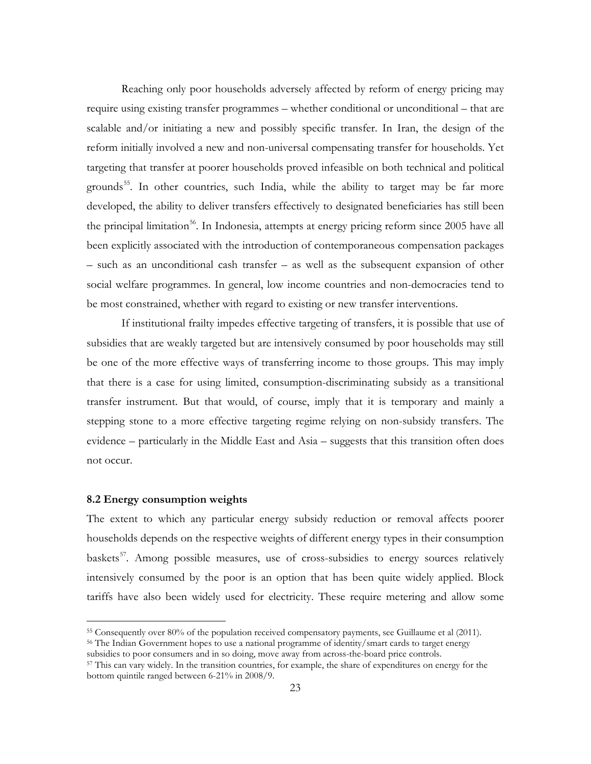Reaching only poor households adversely affected by reform of energy pricing may require using existing transfer programmes – whether conditional or unconditional – that are scalable and/or initiating a new and possibly specific transfer. In Iran, the design of the reform initially involved a new and non-universal compensating transfer for households. Yet targeting that transfer at poorer households proved infeasible on both technical and political grounds<sup>55</sup>. In other countries, such India, while the ability to target may be far more developed, the ability to deliver transfers effectively to designated beneficiaries has still been the principal limitation<sup>[56](#page-24-0)</sup>. In Indonesia, attempts at energy pricing reform since 2005 have all been explicitly associated with the introduction of contemporaneous compensation packages – such as an unconditional cash transfer – as well as the subsequent expansion of other social welfare programmes. In general, low income countries and non-democracies tend to be most constrained, whether with regard to existing or new transfer interventions.

If institutional frailty impedes effective targeting of transfers, it is possible that use of subsidies that are weakly targeted but are intensively consumed by poor households may still be one of the more effective ways of transferring income to those groups. This may imply that there is a case for using limited, consumption-discriminating subsidy as a transitional transfer instrument. But that would, of course, imply that it is temporary and mainly a stepping stone to a more effective targeting regime relying on non-subsidy transfers. The evidence – particularly in the Middle East and Asia – suggests that this transition often does not occur.

#### **8.2 Energy consumption weights**

The extent to which any particular energy subsidy reduction or removal affects poorer households depends on the respective weights of different energy types in their consumption baskets<sup>57</sup>. Among possible measures, use of cross-subsidies to energy sources relatively intensively consumed by the poor is an option that has been quite widely applied. Block tariffs have also been widely used for electricity. These require metering and allow some

<span id="page-24-0"></span><sup>56</sup> The Indian Government hopes to use a national programme of identity/smart cards to target energy subsidies to poor consumers and in so doing, move away from across-the-board price controls.

<span id="page-24-2"></span> <sup>55</sup> Consequently over 80% of the population received compensatory payments, see Guillaume et al (2011).

<span id="page-24-1"></span><sup>57</sup> This can vary widely. In the transition countries, for example, the share of expenditures on energy for the bottom quintile ranged between 6-21% in 2008/9.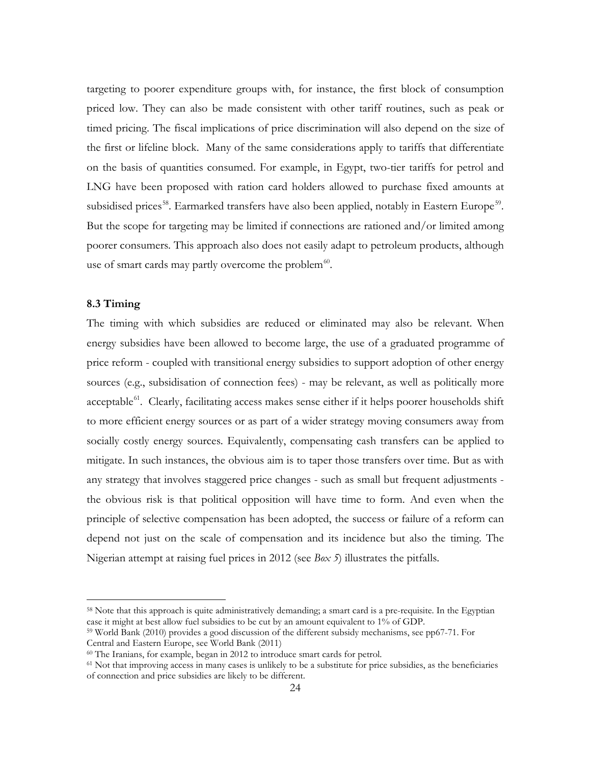targeting to poorer expenditure groups with, for instance, the first block of consumption priced low. They can also be made consistent with other tariff routines, such as peak or timed pricing. The fiscal implications of price discrimination will also depend on the size of the first or lifeline block. Many of the same considerations apply to tariffs that differentiate on the basis of quantities consumed. For example, in Egypt, two-tier tariffs for petrol and LNG have been proposed with ration card holders allowed to purchase fixed amounts at subsidised prices<sup>58</sup>. Earmarked transfers have also been applied, notably in Eastern Europe<sup>[59](#page-25-0)</sup>. But the scope for targeting may be limited if connections are rationed and/or limited among poorer consumers. This approach also does not easily adapt to petroleum products, although use of smart cards may partly overcome the problem<sup>60</sup>.

#### **8.3 Timing**

The timing with which subsidies are reduced or eliminated may also be relevant. When energy subsidies have been allowed to become large, the use of a graduated programme of price reform - coupled with transitional energy subsidies to support adoption of other energy sources (e.g., subsidisation of connection fees) - may be relevant, as well as politically more acceptable $^{61}$  $^{61}$  $^{61}$ . Clearly, facilitating access makes sense either if it helps poorer households shift to more efficient energy sources or as part of a wider strategy moving consumers away from socially costly energy sources. Equivalently, compensating cash transfers can be applied to mitigate. In such instances, the obvious aim is to taper those transfers over time. But as with any strategy that involves staggered price changes - such as small but frequent adjustments the obvious risk is that political opposition will have time to form. And even when the principle of selective compensation has been adopted, the success or failure of a reform can depend not just on the scale of compensation and its incidence but also the timing. The Nigerian attempt at raising fuel prices in 2012 (see *Box 5*) illustrates the pitfalls.

 <sup>58</sup> Note that this approach is quite administratively demanding; a smart card is a pre-requisite. In the Egyptian case it might at best allow fuel subsidies to be cut by an amount equivalent to 1% of GDP.

<span id="page-25-0"></span><sup>59</sup> World Bank (2010) provides a good discussion of the different subsidy mechanisms, see pp67-71. For Central and Eastern Europe, see World Bank (2011)

<span id="page-25-1"></span><sup>60</sup> The Iranians, for example, began in 2012 to introduce smart cards for petrol.

<span id="page-25-2"></span><sup>61</sup> Not that improving access in many cases is unlikely to be a substitute for price subsidies, as the beneficiaries of connection and price subsidies are likely to be different.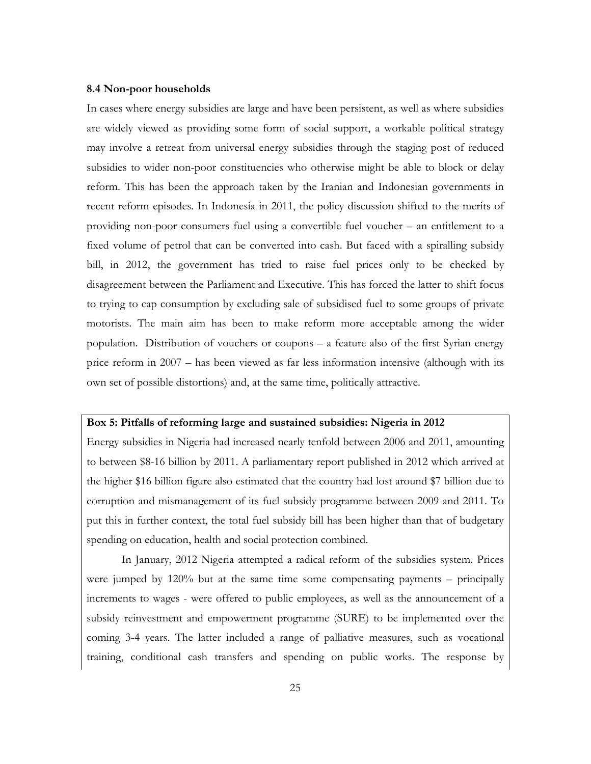#### **8.4 Non-poor households**

In cases where energy subsidies are large and have been persistent, as well as where subsidies are widely viewed as providing some form of social support, a workable political strategy may involve a retreat from universal energy subsidies through the staging post of reduced subsidies to wider non-poor constituencies who otherwise might be able to block or delay reform. This has been the approach taken by the Iranian and Indonesian governments in recent reform episodes. In Indonesia in 2011, the policy discussion shifted to the merits of providing non-poor consumers fuel using a convertible fuel voucher – an entitlement to a fixed volume of petrol that can be converted into cash. But faced with a spiralling subsidy bill, in 2012, the government has tried to raise fuel prices only to be checked by disagreement between the Parliament and Executive. This has forced the latter to shift focus to trying to cap consumption by excluding sale of subsidised fuel to some groups of private motorists. The main aim has been to make reform more acceptable among the wider population. Distribution of vouchers or coupons – a feature also of the first Syrian energy price reform in 2007 – has been viewed as far less information intensive (although with its own set of possible distortions) and, at the same time, politically attractive.

#### **Box 5: Pitfalls of reforming large and sustained subsidies: Nigeria in 2012**

Energy subsidies in Nigeria had increased nearly tenfold between 2006 and 2011, amounting to between \$8-16 billion by 2011. A parliamentary report published in 2012 which arrived at the higher \$16 billion figure also estimated that the country had lost around \$7 billion due to corruption and mismanagement of its fuel subsidy programme between 2009 and 2011. To put this in further context, the total fuel subsidy bill has been higher than that of budgetary spending on education, health and social protection combined.

In January, 2012 Nigeria attempted a radical reform of the subsidies system. Prices were jumped by 120% but at the same time some compensating payments – principally increments to wages - were offered to public employees, as well as the announcement of a subsidy reinvestment and empowerment programme (SURE) to be implemented over the coming 3-4 years. The latter included a range of palliative measures, such as vocational training, conditional cash transfers and spending on public works. The response by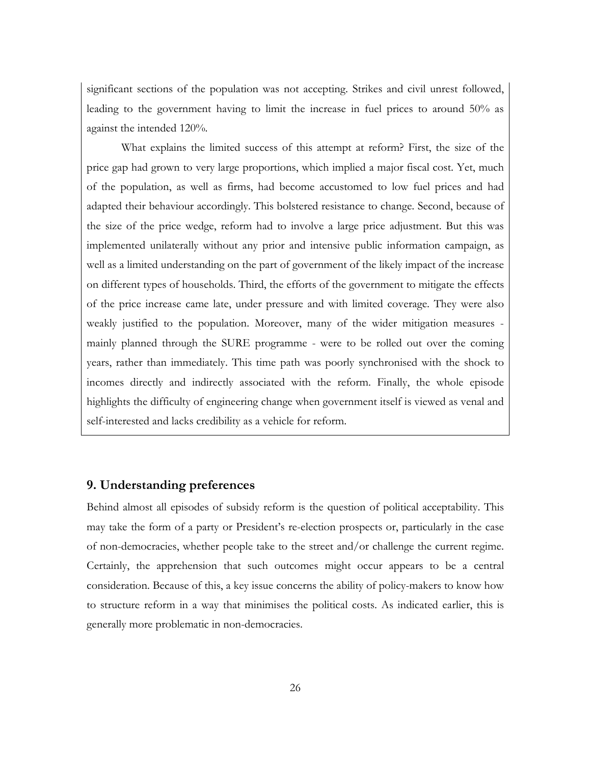significant sections of the population was not accepting. Strikes and civil unrest followed, leading to the government having to limit the increase in fuel prices to around 50% as against the intended 120%.

What explains the limited success of this attempt at reform? First, the size of the price gap had grown to very large proportions, which implied a major fiscal cost. Yet, much of the population, as well as firms, had become accustomed to low fuel prices and had adapted their behaviour accordingly. This bolstered resistance to change. Second, because of the size of the price wedge, reform had to involve a large price adjustment. But this was implemented unilaterally without any prior and intensive public information campaign, as well as a limited understanding on the part of government of the likely impact of the increase on different types of households. Third, the efforts of the government to mitigate the effects of the price increase came late, under pressure and with limited coverage. They were also weakly justified to the population. Moreover, many of the wider mitigation measures mainly planned through the SURE programme - were to be rolled out over the coming years, rather than immediately. This time path was poorly synchronised with the shock to incomes directly and indirectly associated with the reform. Finally, the whole episode highlights the difficulty of engineering change when government itself is viewed as venal and self-interested and lacks credibility as a vehicle for reform.

#### **9. Understanding preferences**

Behind almost all episodes of subsidy reform is the question of political acceptability. This may take the form of a party or President's re-election prospects or, particularly in the case of non-democracies, whether people take to the street and/or challenge the current regime. Certainly, the apprehension that such outcomes might occur appears to be a central consideration. Because of this, a key issue concerns the ability of policy-makers to know how to structure reform in a way that minimises the political costs. As indicated earlier, this is generally more problematic in non-democracies.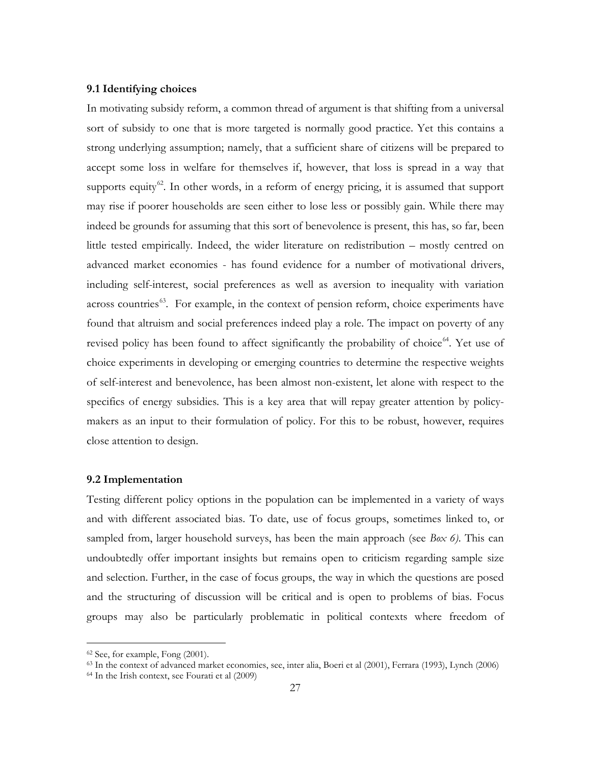#### **9.1 Identifying choices**

In motivating subsidy reform, a common thread of argument is that shifting from a universal sort of subsidy to one that is more targeted is normally good practice. Yet this contains a strong underlying assumption; namely, that a sufficient share of citizens will be prepared to accept some loss in welfare for themselves if, however, that loss is spread in a way that supports equity $62$ . In other words, in a reform of energy pricing, it is assumed that support may rise if poorer households are seen either to lose less or possibly gain. While there may indeed be grounds for assuming that this sort of benevolence is present, this has, so far, been little tested empirically. Indeed, the wider literature on redistribution – mostly centred on advanced market economies - has found evidence for a number of motivational drivers, including self-interest, social preferences as well as aversion to inequality with variation across countries<sup>63</sup>. For example, in the context of pension reform, choice experiments have found that altruism and social preferences indeed play a role. The impact on poverty of any revised policy has been found to affect significantly the probability of choice<sup>[64](#page-28-1)</sup>. Yet use of choice experiments in developing or emerging countries to determine the respective weights of self-interest and benevolence, has been almost non-existent, let alone with respect to the specifics of energy subsidies. This is a key area that will repay greater attention by policymakers as an input to their formulation of policy. For this to be robust, however, requires close attention to design.

#### **9.2 Implementation**

Testing different policy options in the population can be implemented in a variety of ways and with different associated bias. To date, use of focus groups, sometimes linked to, or sampled from, larger household surveys, has been the main approach (see *Box 6)*. This can undoubtedly offer important insights but remains open to criticism regarding sample size and selection. Further, in the case of focus groups, the way in which the questions are posed and the structuring of discussion will be critical and is open to problems of bias. Focus groups may also be particularly problematic in political contexts where freedom of

<span id="page-28-2"></span> <sup>62</sup> See, for example, Fong (2001).

<span id="page-28-0"></span><sup>63</sup> In the context of advanced market economies, see, inter alia, Boeri et al (2001), Ferrara (1993), Lynch (2006)

<span id="page-28-1"></span><sup>64</sup> In the Irish context, see Fourati et al (2009)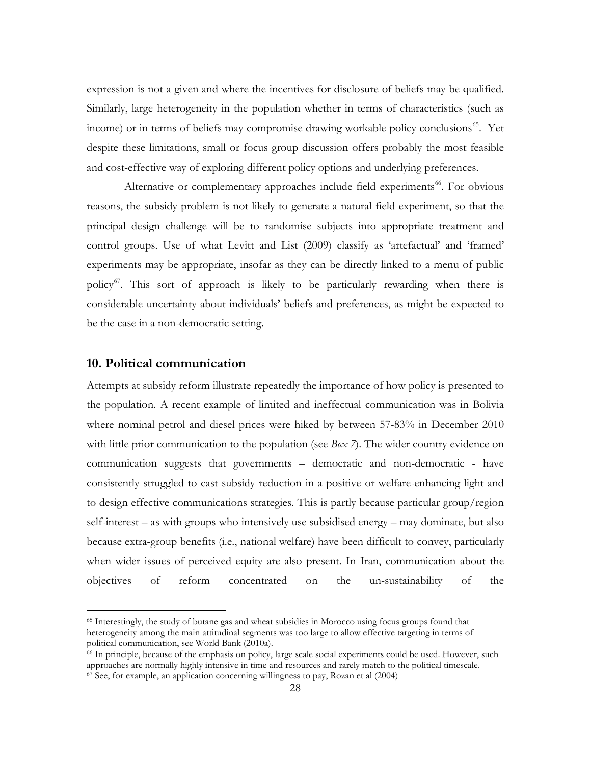expression is not a given and where the incentives for disclosure of beliefs may be qualified. Similarly, large heterogeneity in the population whether in terms of characteristics (such as income) or in terms of beliefs may compromise drawing workable policy conclusions<sup>[65](#page-28-2)</sup>. Yet despite these limitations, small or focus group discussion offers probably the most feasible and cost-effective way of exploring different policy options and underlying preferences.

Alternative or complementary approaches include field experiments<sup>[66](#page-29-0)</sup>. For obvious reasons, the subsidy problem is not likely to generate a natural field experiment, so that the principal design challenge will be to randomise subjects into appropriate treatment and control groups. Use of what Levitt and List (2009) classify as 'artefactual' and 'framed' experiments may be appropriate, insofar as they can be directly linked to a menu of public policy<sup>67</sup>. This sort of approach is likely to be particularly rewarding when there is considerable uncertainty about individuals' beliefs and preferences, as might be expected to be the case in a non-democratic setting.

#### **10. Political communication**

Attempts at subsidy reform illustrate repeatedly the importance of how policy is presented to the population. A recent example of limited and ineffectual communication was in Bolivia where nominal petrol and diesel prices were hiked by between 57-83% in December 2010 with little prior communication to the population (see *Box 7*). The wider country evidence on communication suggests that governments – democratic and non-democratic - have consistently struggled to cast subsidy reduction in a positive or welfare-enhancing light and to design effective communications strategies. This is partly because particular group/region self-interest – as with groups who intensively use subsidised energy – may dominate, but also because extra-group benefits (i.e., national welfare) have been difficult to convey, particularly when wider issues of perceived equity are also present. In Iran, communication about the objectives of reform concentrated on the un-sustainability of the

 <sup>65</sup> Interestingly, the study of butane gas and wheat subsidies in Morocco using focus groups found that heterogeneity among the main attitudinal segments was too large to allow effective targeting in terms of political communication, see World Bank (2010a).

<span id="page-29-1"></span><span id="page-29-0"></span> $\epsilon$ <sup>66</sup> In principle, because of the emphasis on policy, large scale social experiments could be used. However, such approaches are normally highly intensive in time and resources and rarely match to the political timescale. <sup>67</sup> See, for example, an application concerning willingness to pay, Rozan et al (2004)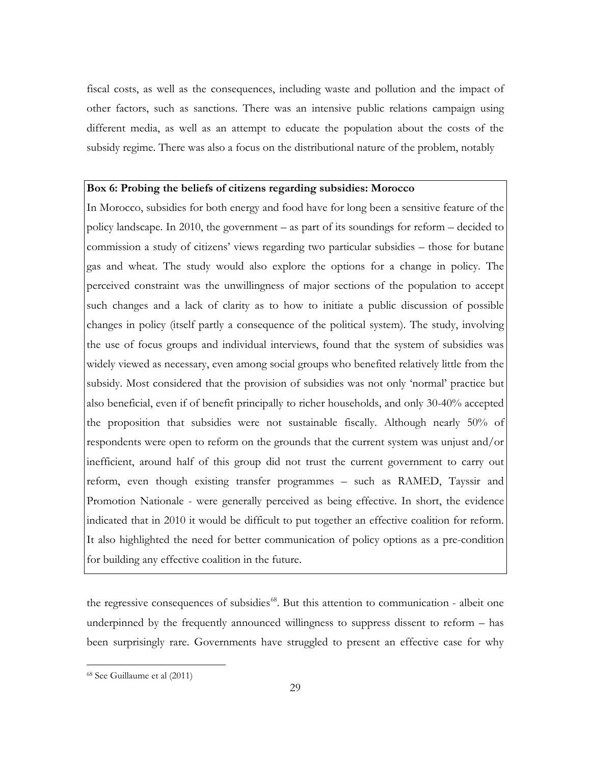fiscal costs, as well as the consequences, including waste and pollution and the impact of other factors, such as sanctions. There was an intensive public relations campaign using different media, as well as an attempt to educate the population about the costs of the subsidy regime. There was also a focus on the distributional nature of the problem, notably

#### **Box 6: Probing the beliefs of citizens regarding subsidies: Morocco**

In Morocco, subsidies for both energy and food have for long been a sensitive feature of the policy landscape. In 2010, the government – as part of its soundings for reform – decided to commission a study of citizens' views regarding two particular subsidies – those for butane gas and wheat. The study would also explore the options for a change in policy. The perceived constraint was the unwillingness of major sections of the population to accept such changes and a lack of clarity as to how to initiate a public discussion of possible changes in policy (itself partly a consequence of the political system). The study, involving the use of focus groups and individual interviews, found that the system of subsidies was widely viewed as necessary, even among social groups who benefited relatively little from the subsidy. Most considered that the provision of subsidies was not only 'normal' practice but also beneficial, even if of benefit principally to richer households, and only 30-40% accepted the proposition that subsidies were not sustainable fiscally. Although nearly 50% of respondents were open to reform on the grounds that the current system was unjust and/or inefficient, around half of this group did not trust the current government to carry out reform, even though existing transfer programmes – such as RAMED, Tayssir and Promotion Nationale - were generally perceived as being effective. In short, the evidence indicated that in 2010 it would be difficult to put together an effective coalition for reform. It also highlighted the need for better communication of policy options as a pre-condition for building any effective coalition in the future.

<span id="page-30-0"></span>the regressive consequences of subsidies<sup>[68](#page-29-1)</sup>. But this attention to communication - albeit one underpinned by the frequently announced willingness to suppress dissent to reform – has been surprisingly rare. Governments have struggled to present an effective case for why

 <sup>68</sup> See Guillaume et al (2011)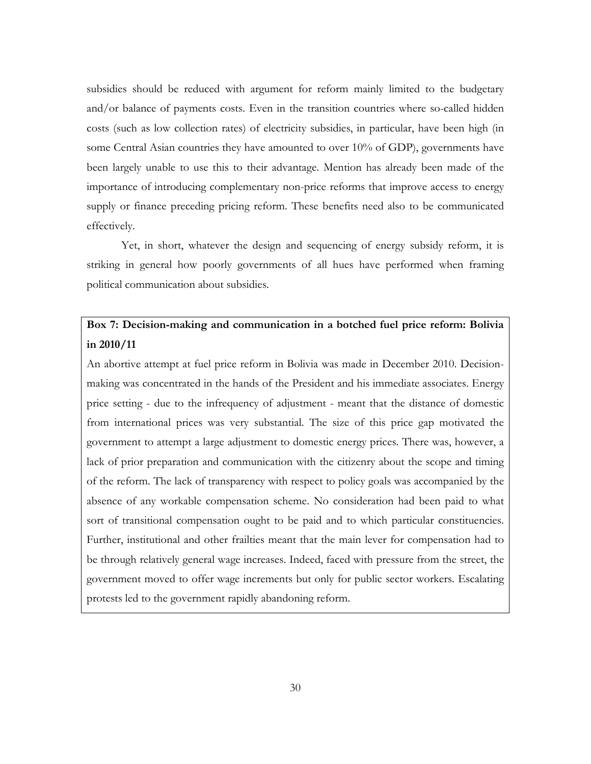subsidies should be reduced with argument for reform mainly limited to the budgetary and/or balance of payments costs. Even in the transition countries where so-called hidden costs (such as low collection rates) of electricity subsidies, in particular, have been high (in some Central Asian countries they have amounted to over 10% of GDP), governments have been largely unable to use this to their advantage. Mention has already been made of the importance of introducing complementary non-price reforms that improve access to energy supply or finance preceding pricing reform. These benefits need also to be communicated effectively.

Yet, in short, whatever the design and sequencing of energy subsidy reform, it is striking in general how poorly governments of all hues have performed when framing political communication about subsidies.

# **Box 7: Decision-making and communication in a botched fuel price reform: Bolivia in 2010/11**

An abortive attempt at fuel price reform in Bolivia was made in December 2010. Decisionmaking was concentrated in the hands of the President and his immediate associates. Energy price setting - due to the infrequency of adjustment - meant that the distance of domestic from international prices was very substantial. The size of this price gap motivated the government to attempt a large adjustment to domestic energy prices. There was, however, a lack of prior preparation and communication with the citizenry about the scope and timing of the reform. The lack of transparency with respect to policy goals was accompanied by the absence of any workable compensation scheme. No consideration had been paid to what sort of transitional compensation ought to be paid and to which particular constituencies. Further, institutional and other frailties meant that the main lever for compensation had to be through relatively general wage increases. Indeed, faced with pressure from the street, the government moved to offer wage increments but only for public sector workers. Escalating protests led to the government rapidly abandoning reform.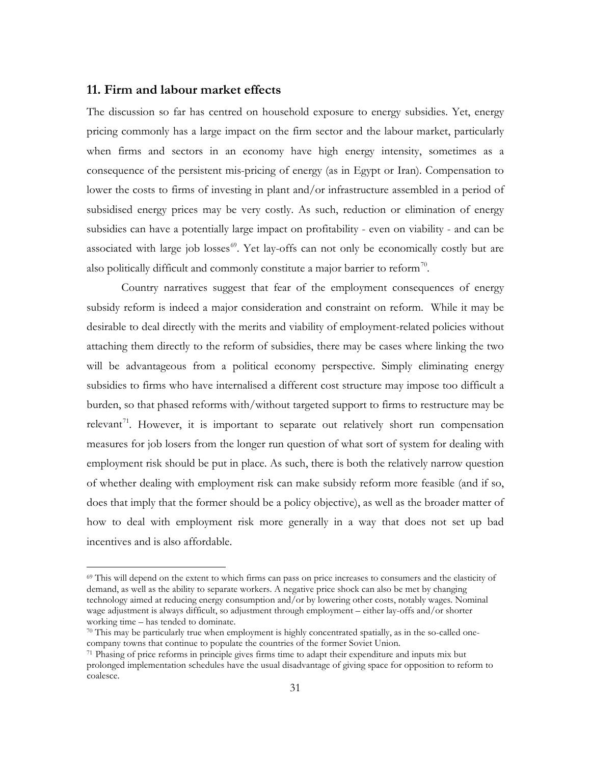### **11. Firm and labour market effects**

The discussion so far has centred on household exposure to energy subsidies. Yet, energy pricing commonly has a large impact on the firm sector and the labour market, particularly when firms and sectors in an economy have high energy intensity, sometimes as a consequence of the persistent mis-pricing of energy (as in Egypt or Iran). Compensation to lower the costs to firms of investing in plant and/or infrastructure assembled in a period of subsidised energy prices may be very costly. As such, reduction or elimination of energy subsidies can have a potentially large impact on profitability - even on viability - and can be associated with large job losses $^{69}$  $^{69}$  $^{69}$ . Yet lay-offs can not only be economically costly but are also politically difficult and commonly constitute a major barrier to reform<sup>70</sup>.

Country narratives suggest that fear of the employment consequences of energy subsidy reform is indeed a major consideration and constraint on reform. While it may be desirable to deal directly with the merits and viability of employment-related policies without attaching them directly to the reform of subsidies, there may be cases where linking the two will be advantageous from a political economy perspective. Simply eliminating energy subsidies to firms who have internalised a different cost structure may impose too difficult a burden, so that phased reforms with/without targeted support to firms to restructure may be relevant<sup>71</sup>. However, it is important to separate out relatively short run compensation measures for job losers from the longer run question of what sort of system for dealing with employment risk should be put in place. As such, there is both the relatively narrow question of whether dealing with employment risk can make subsidy reform more feasible (and if so, does that imply that the former should be a policy objective), as well as the broader matter of how to deal with employment risk more generally in a way that does not set up bad incentives and is also affordable.

<span id="page-32-2"></span> <sup>69</sup> This will depend on the extent to which firms can pass on price increases to consumers and the elasticity of demand, as well as the ability to separate workers. A negative price shock can also be met by changing technology aimed at reducing energy consumption and/or by lowering other costs, notably wages. Nominal wage adjustment is always difficult, so adjustment through employment – either lay-offs and/or shorter working time – has tended to dominate.<br><sup>70</sup> This may be particularly true when employment is highly concentrated spatially, as in the so-called one-

<span id="page-32-0"></span>company towns that continue to populate the countries of the former Soviet Union.

<span id="page-32-1"></span><sup>71</sup> Phasing of price reforms in principle gives firms time to adapt their expenditure and inputs mix but prolonged implementation schedules have the usual disadvantage of giving space for opposition to reform to coalesce.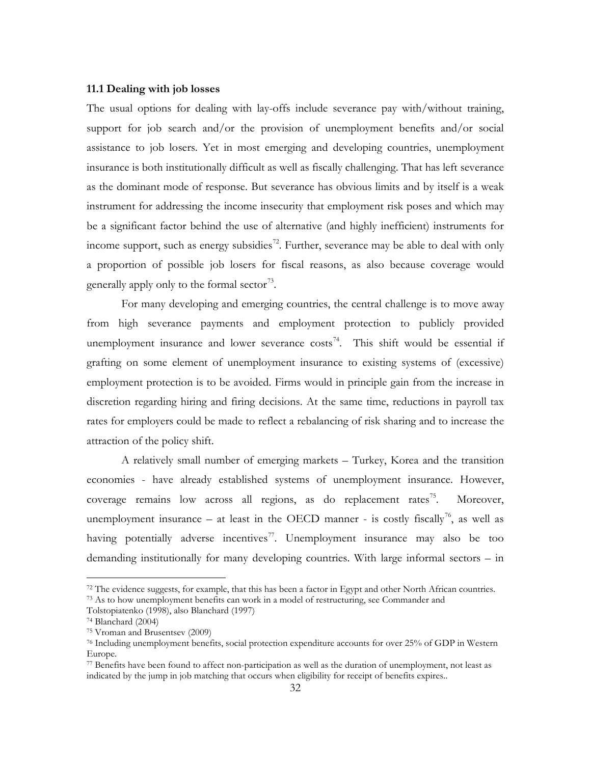#### **11.1 Dealing with job losses**

The usual options for dealing with lay-offs include severance pay with/without training, support for job search and/or the provision of unemployment benefits and/or social assistance to job losers. Yet in most emerging and developing countries, unemployment insurance is both institutionally difficult as well as fiscally challenging. That has left severance as the dominant mode of response. But severance has obvious limits and by itself is a weak instrument for addressing the income insecurity that employment risk poses and which may be a significant factor behind the use of alternative (and highly inefficient) instruments for income support, such as energy subsidies<sup>[72](#page-32-2)</sup>. Further, severance may be able to deal with only a proportion of possible job losers for fiscal reasons, as also because coverage would generally apply only to the formal sector<sup>73</sup>.

For many developing and emerging countries, the central challenge is to move away from high severance payments and employment protection to publicly provided unemployment insurance and lower severance  $\cos^{-1}$ . This shift would be essential if grafting on some element of unemployment insurance to existing systems of (excessive) employment protection is to be avoided. Firms would in principle gain from the increase in discretion regarding hiring and firing decisions. At the same time, reductions in payroll tax rates for employers could be made to reflect a rebalancing of risk sharing and to increase the attraction of the policy shift.

A relatively small number of emerging markets – Turkey, Korea and the transition economies - have already established systems of unemployment insurance. However, coverage remains low across all regions, as do replacement rates<sup>75</sup>. Moreover, unemployment insurance – at least in the OECD manner - is costly fiscally<sup>76</sup>, as well as having potentially adverse incentives<sup>[77](#page-33-4)</sup>. Unemployment insurance may also be too demanding institutionally for many developing countries. With large informal sectors – in

<span id="page-33-5"></span><sup>&</sup>lt;sup>72</sup> The evidence suggests, for example, that this has been a factor in Egypt and other North African countries.

<span id="page-33-0"></span><sup>&</sup>lt;sup>73</sup> As to how unemployment benefits can work in a model of restructuring, see Commander and

Tolstopiatenko (1998), also Blanchard (1997)

<span id="page-33-1"></span><sup>74</sup> Blanchard (2004)

<span id="page-33-2"></span><sup>75</sup> Vroman and Brusentsev (2009)

<span id="page-33-3"></span><sup>76</sup> Including unemployment benefits, social protection expenditure accounts for over 25% of GDP in Western Europe.

<span id="page-33-4"></span><sup>77</sup> Benefits have been found to affect non-participation as well as the duration of unemployment, not least as indicated by the jump in job matching that occurs when eligibility for receipt of benefits expires..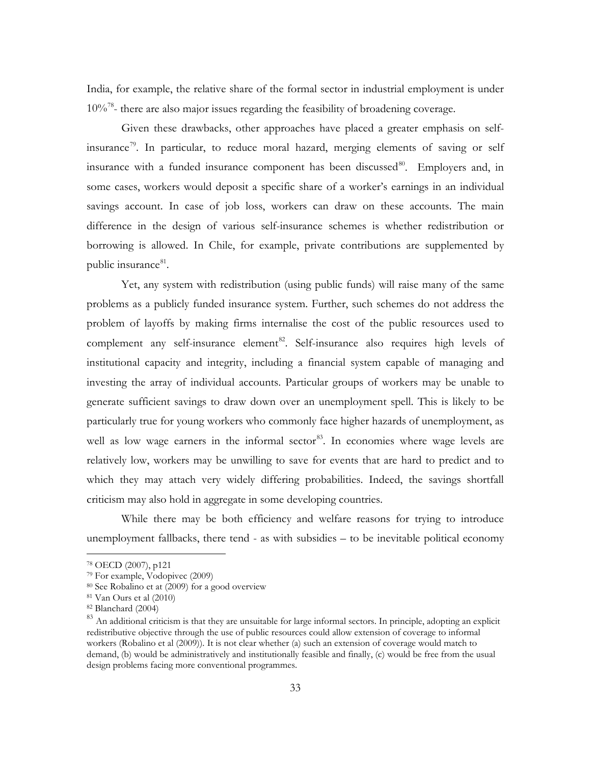India, for example, the relative share of the formal sector in industrial employment is under  $10\%$ <sup>78</sup>- there are also major issues regarding the feasibility of broadening coverage.

Given these drawbacks, other approaches have placed a greater emphasis on self-insurance<sup>[79](#page-34-0)</sup>. In particular, to reduce moral hazard, merging elements of saving or self insurance with a funded insurance component has been discussed<sup>80</sup>. Employers and, in some cases, workers would deposit a specific share of a worker's earnings in an individual savings account. In case of job loss, workers can draw on these accounts. The main difference in the design of various self-insurance schemes is whether redistribution or borrowing is allowed. In Chile, for example, private contributions are supplemented by public insurance<sup>81</sup>.

Yet, any system with redistribution (using public funds) will raise many of the same problems as a publicly funded insurance system. Further, such schemes do not address the problem of layoffs by making firms internalise the cost of the public resources used to complement any self-insurance element<sup>[82](#page-34-3)</sup>. Self-insurance also requires high levels of institutional capacity and integrity, including a financial system capable of managing and investing the array of individual accounts. Particular groups of workers may be unable to generate sufficient savings to draw down over an unemployment spell. This is likely to be particularly true for young workers who commonly face higher hazards of unemployment, as well as low wage earners in the informal sector<sup>83</sup>. In economies where wage levels are relatively low, workers may be unwilling to save for events that are hard to predict and to which they may attach very widely differing probabilities. Indeed, the savings shortfall criticism may also hold in aggregate in some developing countries.

While there may be both efficiency and welfare reasons for trying to introduce unemployment fallbacks, there tend - as with subsidies – to be inevitable political economy

 <sup>78</sup> OECD (2007), p121

<span id="page-34-0"></span><sup>79</sup> For example, Vodopivec (2009)

<span id="page-34-1"></span><sup>80</sup> See Robalino et at (2009) for a good overview

<span id="page-34-2"></span><sup>81</sup> Van Ours et al (2010)

<span id="page-34-3"></span><sup>82</sup> Blanchard (2004)

<span id="page-34-4"></span><sup>&</sup>lt;sup>83</sup> An additional criticism is that they are unsuitable for large informal sectors. In principle, adopting an explicit redistributive objective through the use of public resources could allow extension of coverage to informal workers (Robalino et al (2009)). It is not clear whether (a) such an extension of coverage would match to demand, (b) would be administratively and institutionally feasible and finally, (c) would be free from the usual design problems facing more conventional programmes.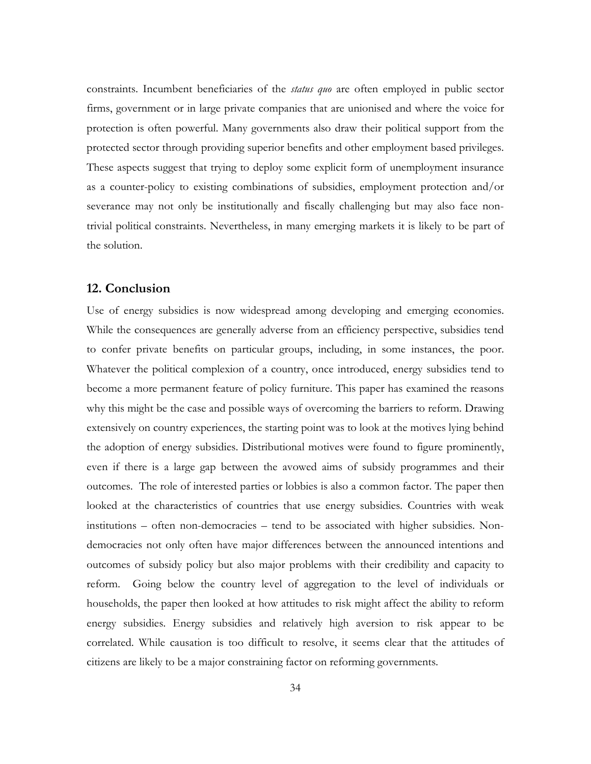constraints. Incumbent beneficiaries of the *status quo* are often employed in public sector firms, government or in large private companies that are unionised and where the voice for protection is often powerful. Many governments also draw their political support from the protected sector through providing superior benefits and other employment based privileges. These aspects suggest that trying to deploy some explicit form of unemployment insurance as a counter-policy to existing combinations of subsidies, employment protection and/or severance may not only be institutionally and fiscally challenging but may also face nontrivial political constraints. Nevertheless, in many emerging markets it is likely to be part of the solution.

#### **12. Conclusion**

Use of energy subsidies is now widespread among developing and emerging economies. While the consequences are generally adverse from an efficiency perspective, subsidies tend to confer private benefits on particular groups, including, in some instances, the poor. Whatever the political complexion of a country, once introduced, energy subsidies tend to become a more permanent feature of policy furniture. This paper has examined the reasons why this might be the case and possible ways of overcoming the barriers to reform. Drawing extensively on country experiences, the starting point was to look at the motives lying behind the adoption of energy subsidies. Distributional motives were found to figure prominently, even if there is a large gap between the avowed aims of subsidy programmes and their outcomes. The role of interested parties or lobbies is also a common factor. The paper then looked at the characteristics of countries that use energy subsidies. Countries with weak institutions – often non-democracies – tend to be associated with higher subsidies. Nondemocracies not only often have major differences between the announced intentions and outcomes of subsidy policy but also major problems with their credibility and capacity to reform. Going below the country level of aggregation to the level of individuals or households, the paper then looked at how attitudes to risk might affect the ability to reform energy subsidies. Energy subsidies and relatively high aversion to risk appear to be correlated. While causation is too difficult to resolve, it seems clear that the attitudes of citizens are likely to be a major constraining factor on reforming governments.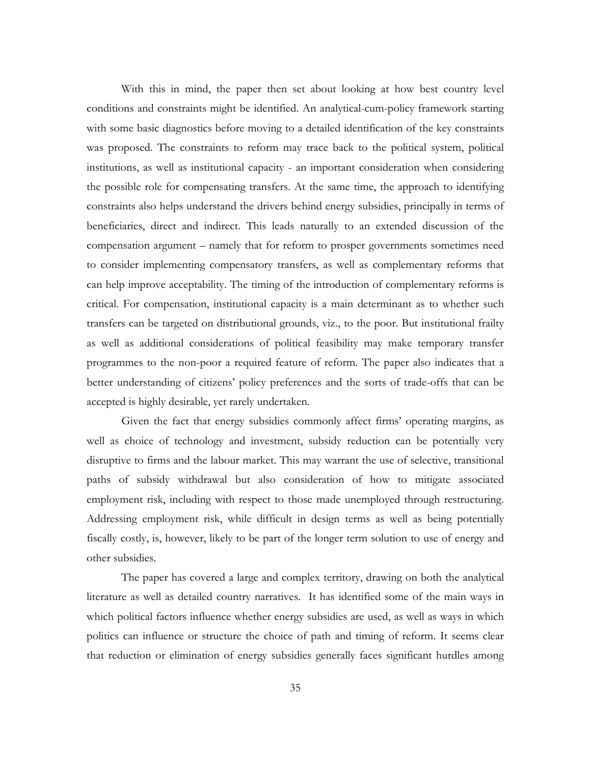With this in mind, the paper then set about looking at how best country level conditions and constraints might be identified. An analytical-cum-policy framework starting with some basic diagnostics before moving to a detailed identification of the key constraints was proposed. The constraints to reform may trace back to the political system, political institutions, as well as institutional capacity - an important consideration when considering the possible role for compensating transfers. At the same time, the approach to identifying constraints also helps understand the drivers behind energy subsidies, principally in terms of beneficiaries, direct and indirect. This leads naturally to an extended discussion of the compensation argument – namely that for reform to prosper governments sometimes need to consider implementing compensatory transfers, as well as complementary reforms that can help improve acceptability. The timing of the introduction of complementary reforms is critical. For compensation, institutional capacity is a main determinant as to whether such transfers can be targeted on distributional grounds, viz., to the poor. But institutional frailty as well as additional considerations of political feasibility may make temporary transfer programmes to the non-poor a required feature of reform. The paper also indicates that a better understanding of citizens' policy preferences and the sorts of trade-offs that can be accepted is highly desirable, yet rarely undertaken.

Given the fact that energy subsidies commonly affect firms' operating margins, as well as choice of technology and investment, subsidy reduction can be potentially very disruptive to firms and the labour market. This may warrant the use of selective, transitional paths of subsidy withdrawal but also consideration of how to mitigate associated employment risk, including with respect to those made unemployed through restructuring. Addressing employment risk, while difficult in design terms as well as being potentially fiscally costly, is, however, likely to be part of the longer term solution to use of energy and other subsidies.

The paper has covered a large and complex territory, drawing on both the analytical literature as well as detailed country narratives. It has identified some of the main ways in which political factors influence whether energy subsidies are used, as well as ways in which politics can influence or structure the choice of path and timing of reform. It seems clear that reduction or elimination of energy subsidies generally faces significant hurdles among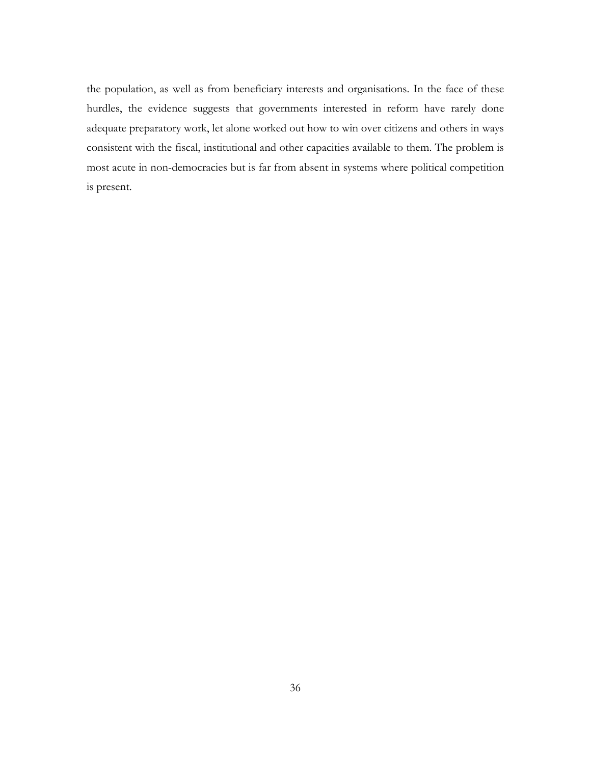the population, as well as from beneficiary interests and organisations. In the face of these hurdles, the evidence suggests that governments interested in reform have rarely done adequate preparatory work, let alone worked out how to win over citizens and others in ways consistent with the fiscal, institutional and other capacities available to them. The problem is most acute in non-democracies but is far from absent in systems where political competition is present.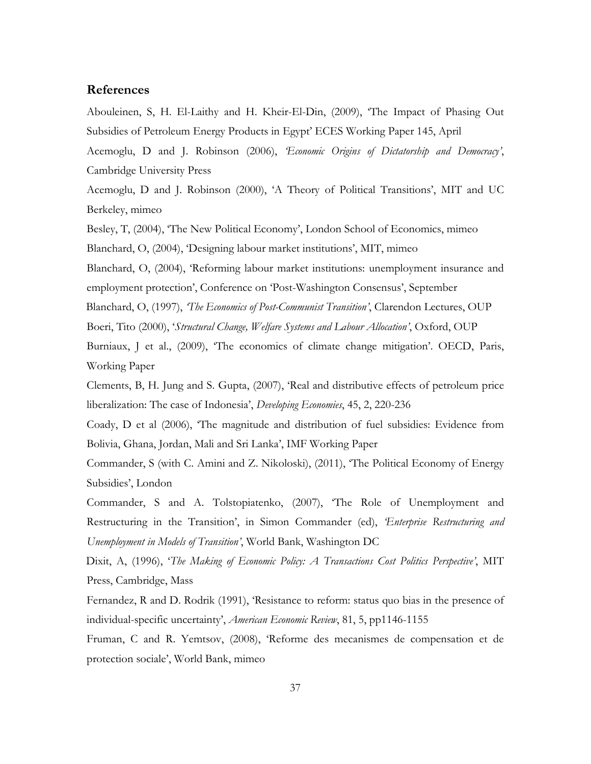#### **References**

Abouleinen, S, H. El-Laithy and H. Kheir-El-Din, (2009), 'The Impact of Phasing Out Subsidies of Petroleum Energy Products in Egypt' ECES Working Paper 145, April

Acemoglu, D and J. Robinson (2006), *'Economic Origins of Dictatorship and Democracy'*, Cambridge University Press

Acemoglu, D and J. Robinson (2000), 'A Theory of Political Transitions', MIT and UC Berkeley, mimeo

Besley, T, (2004), 'The New Political Economy', London School of Economics, mimeo Blanchard, O, (2004), 'Designing labour market institutions', MIT, mimeo

Blanchard, O, (2004), 'Reforming labour market institutions: unemployment insurance and employment protection', Conference on 'Post-Washington Consensus', September

Blanchard, O, (1997), *'The Economics of Post-Communist Transition'*, Clarendon Lectures, OUP

Boeri, Tito (2000), '*Structural Change, Welfare Systems and Labour Allocation'*, Oxford, OUP

Burniaux, J et al., (2009), 'The economics of climate change mitigation'. OECD, Paris, Working Paper

Clements, B, H. Jung and S. Gupta, (2007), 'Real and distributive effects of petroleum price liberalization: The case of Indonesia', *Developing Economies*, 45, 2, 220-236

Coady, D et al (2006), 'The magnitude and distribution of fuel subsidies: Evidence from Bolivia, Ghana, Jordan, Mali and Sri Lanka', IMF Working Paper

Commander, S (with C. Amini and Z. Nikoloski), (2011), 'The Political Economy of Energy Subsidies', London

Commander, S and A. Tolstopiatenko, (2007), 'The Role of Unemployment and Restructuring in the Transition', in Simon Commander (ed), *'Enterprise Restructuring and Unemployment in Models of Transition'*, World Bank, Washington DC

Dixit, A, (1996), '*The Making of Economic Policy: A Transactions Cost Politics Perspective'*, MIT Press, Cambridge, Mass

Fernandez, R and D. Rodrik (1991), 'Resistance to reform: status quo bias in the presence of individual-specific uncertainty', *American Economic Review*, 81, 5, pp1146-1155

Fruman, C and R. Yemtsov, (2008), 'Reforme des mecanismes de compensation et de protection sociale', World Bank, mimeo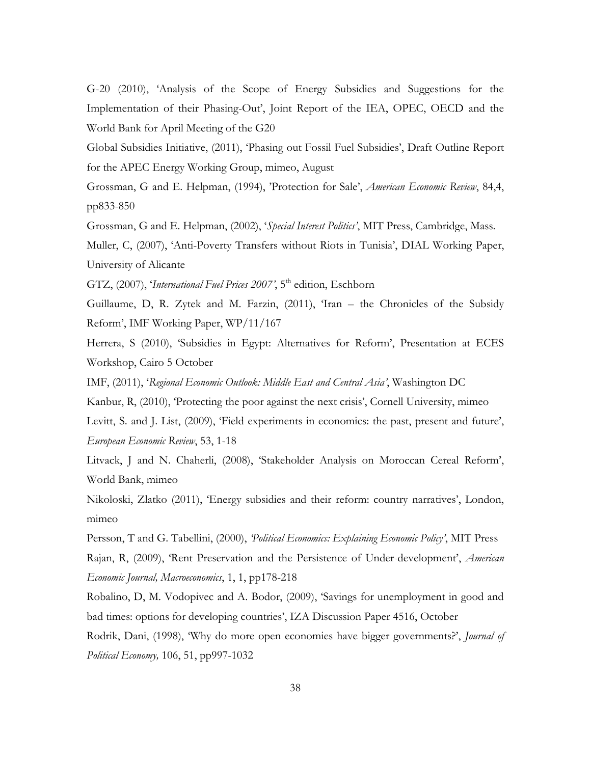G-20 (2010), 'Analysis of the Scope of Energy Subsidies and Suggestions for the Implementation of their Phasing-Out', Joint Report of the IEA, OPEC, OECD and the World Bank for April Meeting of the G20

Global Subsidies Initiative, (2011), 'Phasing out Fossil Fuel Subsidies', Draft Outline Report for the APEC Energy Working Group, mimeo, August

Grossman, G and E. Helpman, (1994), 'Protection for Sale', *American Economic Review*, 84,4, pp833-850

Grossman, G and E. Helpman, (2002), '*Special Interest Politics'*, MIT Press, Cambridge, Mass.

Muller, C, (2007), 'Anti-Poverty Transfers without Riots in Tunisia', DIAL Working Paper, University of Alicante

GTZ, (2007), '*International Fuel Prices 2007*', 5<sup>th</sup> edition, Eschborn

Guillaume, D, R. Zytek and M. Farzin, (2011), 'Iran – the Chronicles of the Subsidy Reform', IMF Working Paper, WP/11/167

Herrera, S (2010), 'Subsidies in Egypt: Alternatives for Reform', Presentation at ECES Workshop, Cairo 5 October

IMF, (2011), '*Regional Economic Outlook: Middle East and Central Asia'*, Washington DC

Kanbur, R, (2010), 'Protecting the poor against the next crisis', Cornell University, mimeo

Levitt, S. and J. List, (2009), 'Field experiments in economics: the past, present and future', *European Economic Review*, 53, 1-18

Litvack, J and N. Chaherli, (2008), 'Stakeholder Analysis on Moroccan Cereal Reform', World Bank, mimeo

Nikoloski, Zlatko (2011), 'Energy subsidies and their reform: country narratives', London, mimeo

Persson, T and G. Tabellini, (2000), *'Political Economics: Explaining Economic Policy'*, MIT Press Rajan, R, (2009), 'Rent Preservation and the Persistence of Under-development', *American Economic Journal, Macroeconomics*, 1, 1, pp178-218

Robalino, D, M. Vodopivec and A. Bodor, (2009), 'Savings for unemployment in good and bad times: options for developing countries', IZA Discussion Paper 4516, October

Rodrik, Dani, (1998), 'Why do more open economies have bigger governments?', *Journal of Political Economy,* 106, 51, pp997-1032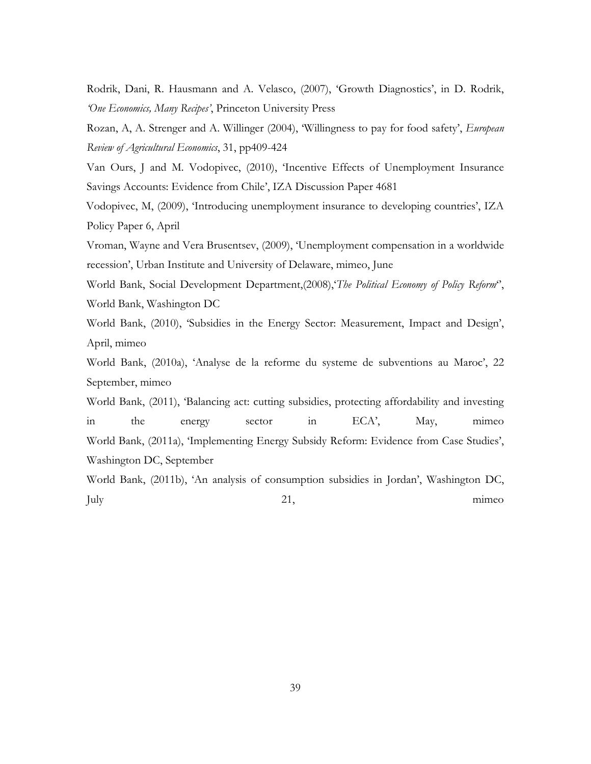Rodrik, Dani, R. Hausmann and A. Velasco, (2007), 'Growth Diagnostics', in D. Rodrik, *'One Economics, Many Recipes'*, Princeton University Press

Rozan, A, A. Strenger and A. Willinger (2004), 'Willingness to pay for food safety', *European Review of Agricultural Economics*, 31, pp409-424

Van Ours, J and M. Vodopivec, (2010), 'Incentive Effects of Unemployment Insurance Savings Accounts: Evidence from Chile', IZA Discussion Paper 4681

Vodopivec, M, (2009), 'Introducing unemployment insurance to developing countries', IZA Policy Paper 6, April

Vroman, Wayne and Vera Brusentsev, (2009), 'Unemployment compensation in a worldwide recession', Urban Institute and University of Delaware, mimeo, June

World Bank, Social Development Department,(2008),'*The Political Economy of Policy Reform*'', World Bank, Washington DC

World Bank, (2010), 'Subsidies in the Energy Sector: Measurement, Impact and Design', April, mimeo

World Bank, (2010a), 'Analyse de la reforme du systeme de subventions au Maroc', 22 September, mimeo

World Bank, (2011), 'Balancing act: cutting subsidies, protecting affordability and investing in the energy sector in ECA', May, mimeo World Bank, (2011a), 'Implementing Energy Subsidy Reform: Evidence from Case Studies', Washington DC, September

World Bank, (2011b), 'An analysis of consumption subsidies in Jordan', Washington DC, July 21, mimeo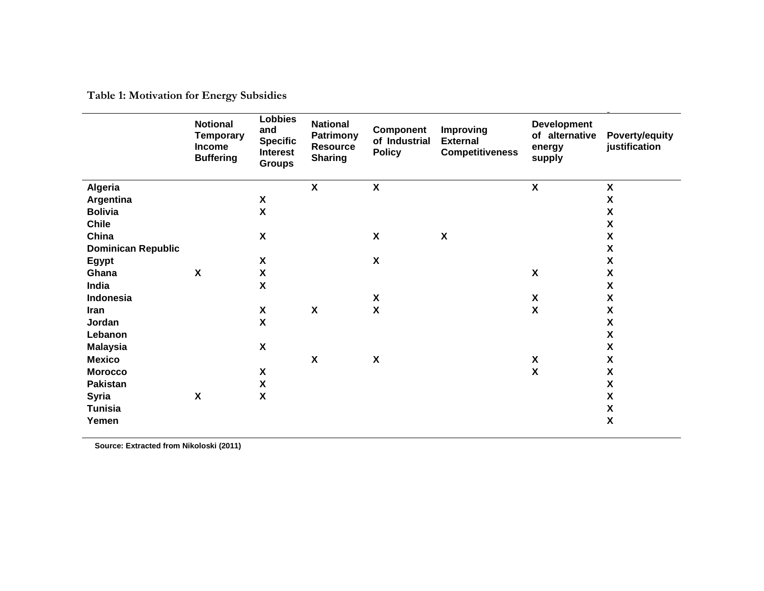**Table 1: Motivation for Energy Subsidies**

|                           | <b>Notional</b><br><b>Temporary</b><br><b>Income</b><br><b>Buffering</b> | <b>Lobbies</b><br>and<br><b>Specific</b><br><b>Interest</b><br><b>Groups</b> | <b>National</b><br>Patrimony<br><b>Resource</b><br><b>Sharing</b> | <b>Component</b><br>of Industrial<br><b>Policy</b> | <b>Improving</b><br><b>External</b><br><b>Competitiveness</b> | <b>Development</b><br>of alternative<br>energy<br>supply | Poverty/equity<br>justification |
|---------------------------|--------------------------------------------------------------------------|------------------------------------------------------------------------------|-------------------------------------------------------------------|----------------------------------------------------|---------------------------------------------------------------|----------------------------------------------------------|---------------------------------|
| Algeria                   |                                                                          |                                                                              | $\boldsymbol{X}$                                                  | X                                                  |                                                               | $\boldsymbol{\mathsf{X}}$                                | $\boldsymbol{\mathsf{X}}$       |
| Argentina                 |                                                                          | $\pmb{\mathsf{X}}$                                                           |                                                                   |                                                    |                                                               |                                                          | $\pmb{\mathsf{X}}$              |
| <b>Bolivia</b>            |                                                                          | $\pmb{\mathsf{X}}$                                                           |                                                                   |                                                    |                                                               |                                                          | X                               |
| <b>Chile</b>              |                                                                          |                                                                              |                                                                   |                                                    |                                                               |                                                          | X                               |
| China                     |                                                                          | $\boldsymbol{\mathsf{X}}$                                                    |                                                                   | $\boldsymbol{\mathsf{X}}$                          | $\boldsymbol{\mathsf{X}}$                                     |                                                          | $\boldsymbol{\mathsf{X}}$       |
| <b>Dominican Republic</b> |                                                                          |                                                                              |                                                                   |                                                    |                                                               |                                                          | X                               |
| Egypt                     |                                                                          | $\pmb{\mathsf{X}}$                                                           |                                                                   | $\pmb{\chi}$                                       |                                                               |                                                          | $\pmb{\chi}$                    |
| Ghana                     | $\boldsymbol{\mathsf{X}}$                                                | $\pmb{\chi}$                                                                 |                                                                   |                                                    |                                                               | $\pmb{\chi}$                                             | $\boldsymbol{\mathsf{X}}$       |
| India                     |                                                                          | $\boldsymbol{\mathsf{X}}$                                                    |                                                                   |                                                    |                                                               |                                                          | X                               |
| Indonesia                 |                                                                          |                                                                              |                                                                   | $\pmb{\mathsf{X}}$                                 |                                                               | $\boldsymbol{\mathsf{X}}$                                | X                               |
| Iran                      |                                                                          | $\pmb{\mathsf{X}}$                                                           | $\boldsymbol{\mathsf{X}}$                                         | $\boldsymbol{\mathsf{X}}$                          |                                                               | $\pmb{\mathsf{X}}$                                       | X                               |
| Jordan                    |                                                                          | $\boldsymbol{\mathsf{x}}$                                                    |                                                                   |                                                    |                                                               |                                                          | X                               |
| Lebanon                   |                                                                          |                                                                              |                                                                   |                                                    |                                                               |                                                          | $\pmb{\mathsf{X}}$              |
| <b>Malaysia</b>           |                                                                          | $\boldsymbol{\mathsf{X}}$                                                    |                                                                   |                                                    |                                                               |                                                          | X                               |
| <b>Mexico</b>             |                                                                          |                                                                              | $\boldsymbol{\mathsf{X}}$                                         | $\pmb{\chi}$                                       |                                                               | $\pmb{\mathsf{X}}$                                       | X                               |
| <b>Morocco</b>            |                                                                          | $\pmb{\mathsf{X}}$                                                           |                                                                   |                                                    |                                                               | $\mathsf{x}$                                             | χ                               |
| <b>Pakistan</b>           |                                                                          | $\pmb{\mathsf{X}}$                                                           |                                                                   |                                                    |                                                               |                                                          | $\pmb{\mathsf{X}}$              |
| <b>Syria</b>              | $\boldsymbol{\mathsf{X}}$                                                | $\boldsymbol{\mathsf{X}}$                                                    |                                                                   |                                                    |                                                               |                                                          | $\boldsymbol{\mathsf{X}}$       |
| <b>Tunisia</b>            |                                                                          |                                                                              |                                                                   |                                                    |                                                               |                                                          | $\pmb{\mathsf{X}}$              |
| Yemen                     |                                                                          |                                                                              |                                                                   |                                                    |                                                               |                                                          | $\pmb{\mathsf{X}}$              |

**Source: Extracted from Nikoloski (2011)**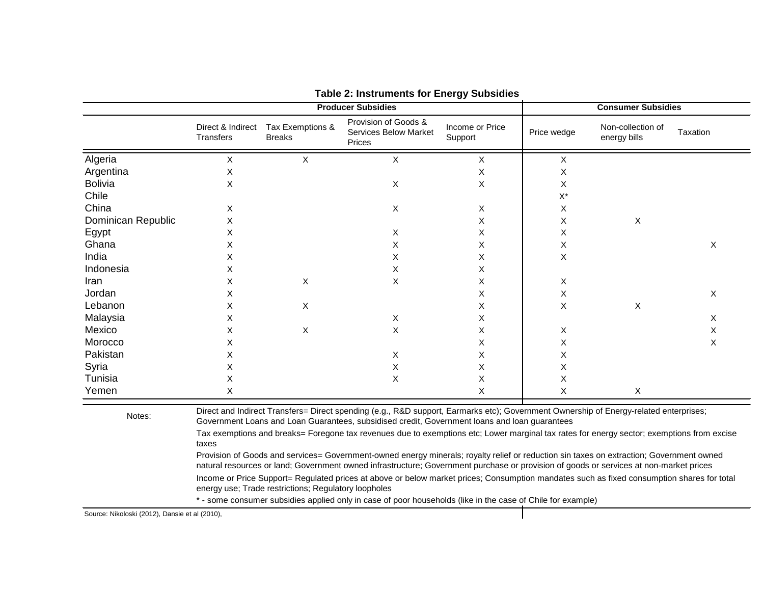|                    |                                                                                                                                                                                                                                                                                                                                                                                                                                                                                                                                                                                                                                                                                                                                                                                                                                   |                                   | <b>Producer Subsidies</b>                                      | <b>Consumer Subsidies</b>  |             |                                   |          |
|--------------------|-----------------------------------------------------------------------------------------------------------------------------------------------------------------------------------------------------------------------------------------------------------------------------------------------------------------------------------------------------------------------------------------------------------------------------------------------------------------------------------------------------------------------------------------------------------------------------------------------------------------------------------------------------------------------------------------------------------------------------------------------------------------------------------------------------------------------------------|-----------------------------------|----------------------------------------------------------------|----------------------------|-------------|-----------------------------------|----------|
|                    | Direct & Indirect<br>Transfers                                                                                                                                                                                                                                                                                                                                                                                                                                                                                                                                                                                                                                                                                                                                                                                                    | Tax Exemptions &<br><b>Breaks</b> | Provision of Goods &<br><b>Services Below Market</b><br>Prices | Income or Price<br>Support | Price wedge | Non-collection of<br>energy bills | Taxation |
| Algeria            | X                                                                                                                                                                                                                                                                                                                                                                                                                                                                                                                                                                                                                                                                                                                                                                                                                                 | X                                 | X                                                              | X                          | X           |                                   |          |
| Argentina          | X                                                                                                                                                                                                                                                                                                                                                                                                                                                                                                                                                                                                                                                                                                                                                                                                                                 |                                   |                                                                | X                          | X           |                                   |          |
| <b>Bolivia</b>     | X                                                                                                                                                                                                                                                                                                                                                                                                                                                                                                                                                                                                                                                                                                                                                                                                                                 |                                   | X                                                              | Χ                          | X           |                                   |          |
| Chile              |                                                                                                                                                                                                                                                                                                                                                                                                                                                                                                                                                                                                                                                                                                                                                                                                                                   |                                   |                                                                |                            | $X^*$       |                                   |          |
| China              | X                                                                                                                                                                                                                                                                                                                                                                                                                                                                                                                                                                                                                                                                                                                                                                                                                                 |                                   | Χ                                                              | X                          | X           |                                   |          |
| Dominican Republic | X                                                                                                                                                                                                                                                                                                                                                                                                                                                                                                                                                                                                                                                                                                                                                                                                                                 |                                   |                                                                | X                          | X           | X                                 |          |
| Egypt              | х                                                                                                                                                                                                                                                                                                                                                                                                                                                                                                                                                                                                                                                                                                                                                                                                                                 |                                   | X                                                              | Χ                          | X           |                                   |          |
| Ghana              | X                                                                                                                                                                                                                                                                                                                                                                                                                                                                                                                                                                                                                                                                                                                                                                                                                                 |                                   | Χ                                                              | X                          | X           |                                   | X        |
| India              | х                                                                                                                                                                                                                                                                                                                                                                                                                                                                                                                                                                                                                                                                                                                                                                                                                                 |                                   | X                                                              | Χ                          | X           |                                   |          |
| Indonesia          | х                                                                                                                                                                                                                                                                                                                                                                                                                                                                                                                                                                                                                                                                                                                                                                                                                                 |                                   | Χ                                                              | X                          |             |                                   |          |
| Iran               | х                                                                                                                                                                                                                                                                                                                                                                                                                                                                                                                                                                                                                                                                                                                                                                                                                                 | X                                 | X                                                              | х                          | X           |                                   |          |
| Jordan             | х                                                                                                                                                                                                                                                                                                                                                                                                                                                                                                                                                                                                                                                                                                                                                                                                                                 |                                   |                                                                | х                          | X           |                                   | X        |
| Lebanon            | Х                                                                                                                                                                                                                                                                                                                                                                                                                                                                                                                                                                                                                                                                                                                                                                                                                                 | Χ                                 |                                                                | х                          | X           | X                                 |          |
| Malaysia           | х                                                                                                                                                                                                                                                                                                                                                                                                                                                                                                                                                                                                                                                                                                                                                                                                                                 |                                   | X                                                              | х                          |             |                                   | Х        |
| Mexico             | X                                                                                                                                                                                                                                                                                                                                                                                                                                                                                                                                                                                                                                                                                                                                                                                                                                 | Χ                                 | X                                                              | х                          | X           |                                   | Χ        |
| Morocco            | х                                                                                                                                                                                                                                                                                                                                                                                                                                                                                                                                                                                                                                                                                                                                                                                                                                 |                                   |                                                                | х                          | Χ           |                                   | Χ        |
| Pakistan           | X                                                                                                                                                                                                                                                                                                                                                                                                                                                                                                                                                                                                                                                                                                                                                                                                                                 |                                   | Χ                                                              | х                          | X           |                                   |          |
| Syria              | Х                                                                                                                                                                                                                                                                                                                                                                                                                                                                                                                                                                                                                                                                                                                                                                                                                                 |                                   | X                                                              | х                          | X           |                                   |          |
| Tunisia            | X                                                                                                                                                                                                                                                                                                                                                                                                                                                                                                                                                                                                                                                                                                                                                                                                                                 |                                   | X                                                              | Х                          | X           |                                   |          |
| Yemen              | X                                                                                                                                                                                                                                                                                                                                                                                                                                                                                                                                                                                                                                                                                                                                                                                                                                 |                                   |                                                                | X                          | X           | $\mathsf{X}$                      |          |
| Notes:             | Direct and Indirect Transfers= Direct spending (e.g., R&D support, Earmarks etc); Government Ownership of Energy-related enterprises;<br>Government Loans and Loan Guarantees, subsidised credit, Government loans and loan guarantees<br>Tax exemptions and breaks= Foregone tax revenues due to exemptions etc; Lower marginal tax rates for energy sector; exemptions from excise<br>taxes<br>Provision of Goods and services= Government-owned energy minerals; royalty relief or reduction sin taxes on extraction; Government owned<br>natural resources or land; Government owned infrastructure; Government purchase or provision of goods or services at non-market prices<br>Income or Price Support= Regulated prices at above or below market prices; Consumption mandates such as fixed consumption shares for total |                                   |                                                                |                            |             |                                   |          |
|                    | energy use; Trade restrictions; Regulatory loopholes<br>$\bullet$ . The companion of the state of the state of the state of the state and the state of the state of $\bigcap_{i=1}^n A_i$ and $\alpha$                                                                                                                                                                                                                                                                                                                                                                                                                                                                                                                                                                                                                            |                                   |                                                                |                            |             |                                   |          |

#### **Table 2: Instruments for Energy Subsidies**

\* - some consumer subsidies applied only in case of poor households (like in the case of Chile for example)

Source: Nikoloski (2012), Dansie et al (2010),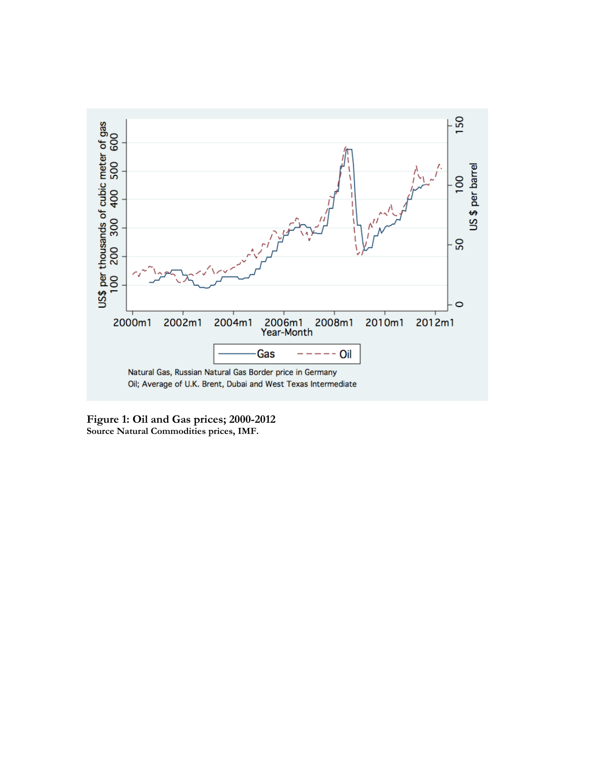

**Figure 1: Oil and Gas prices; 2000-2012 Source Natural Commodities prices, IMF.**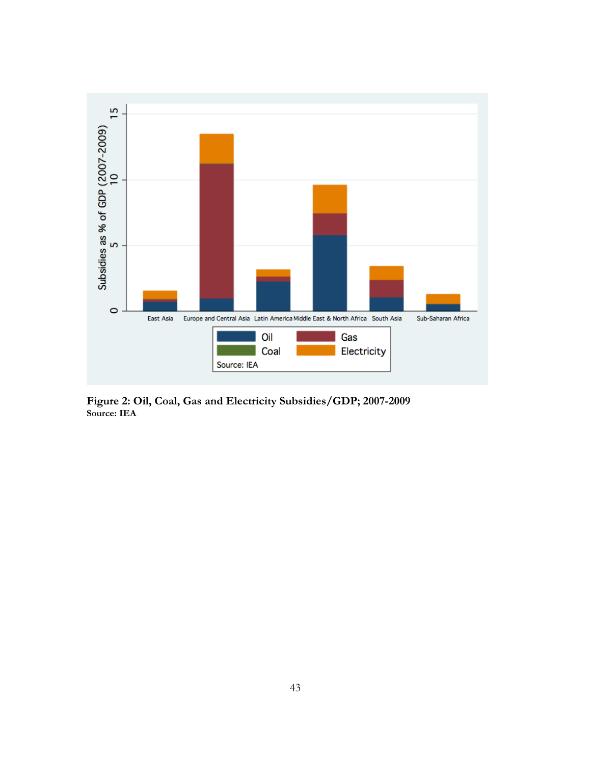

**Figure 2: Oil, Coal, Gas and Electricity Subsidies/GDP; 2007-2009 Source: IEA**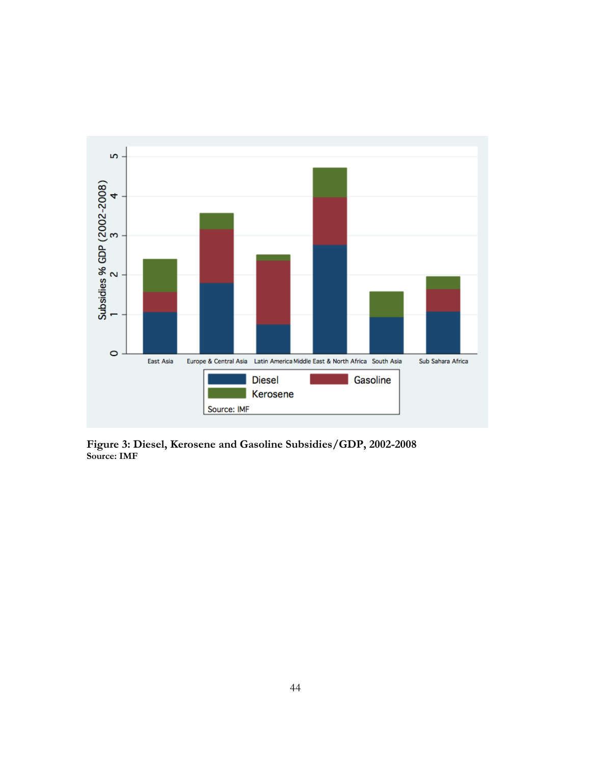

**Figure 3: Diesel, Kerosene and Gasoline Subsidies/GDP, 2002-2008 Source: IMF**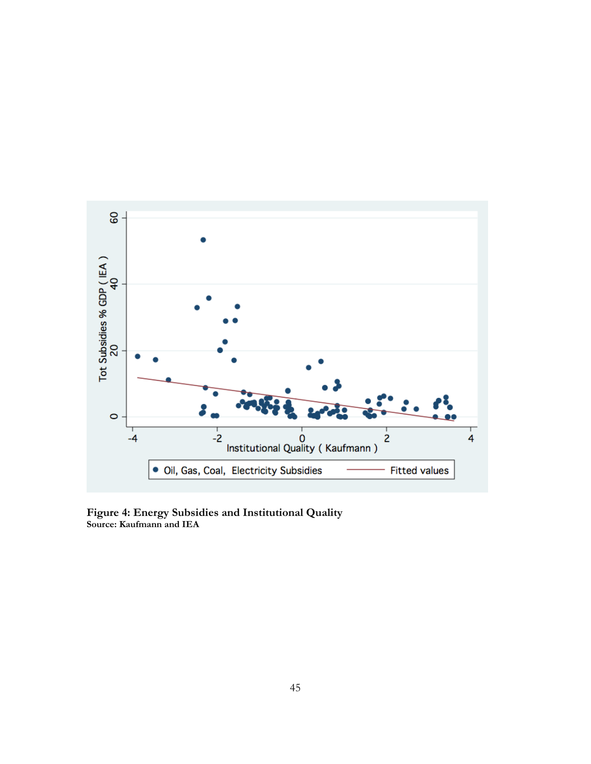

**Figure 4: Energy Subsidies and Institutional Quality Source: Kaufmann and IEA**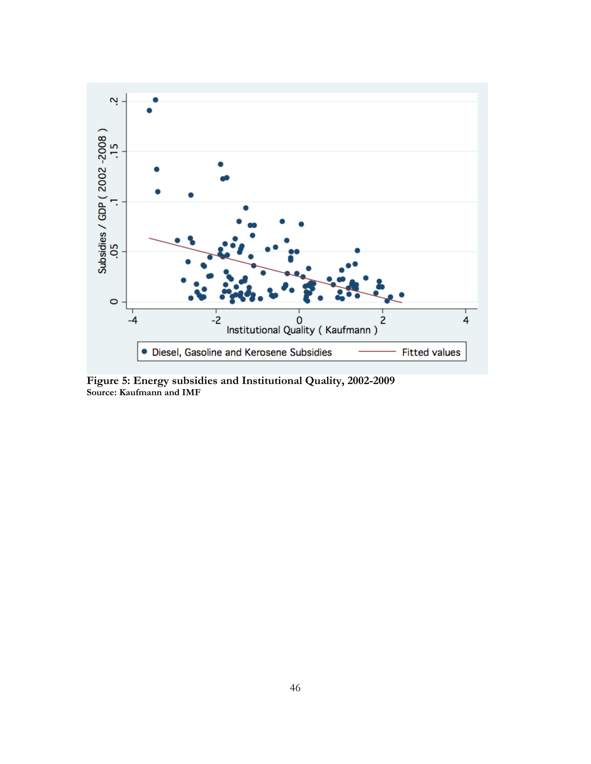

**Figure 5: Energy subsidies and Institutional Quality, 2002-2009 Source: Kaufmann and IMF**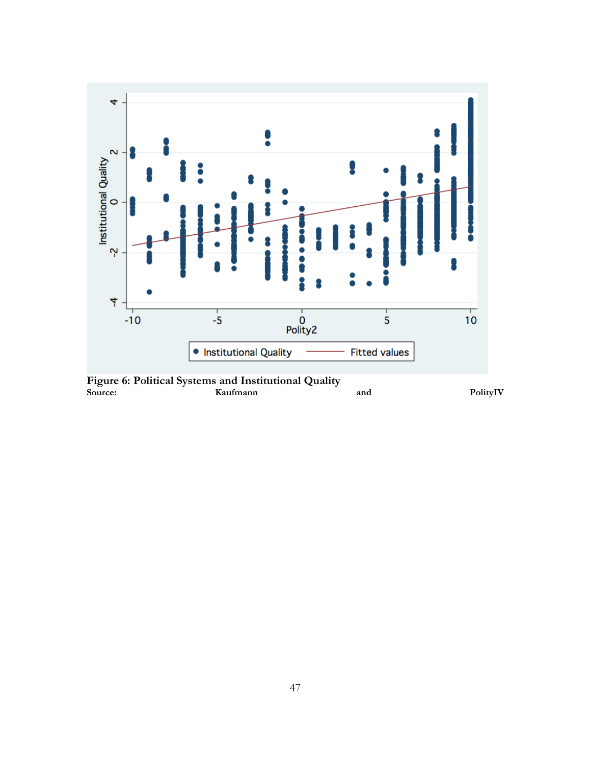

**Figure 6: Political Systems and Institutional Quality Source: Kaufmann and PolityIV**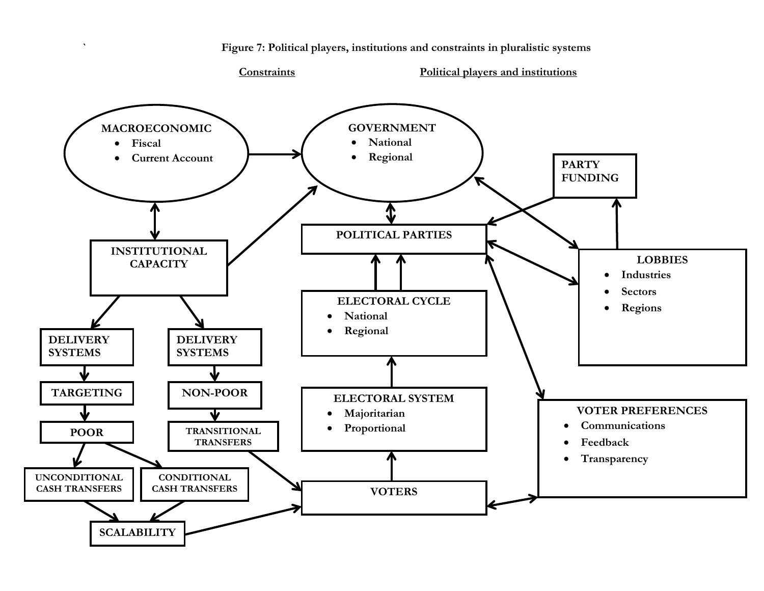

**` Figure 7: Political players, institutions and constraints in pluralistic systems**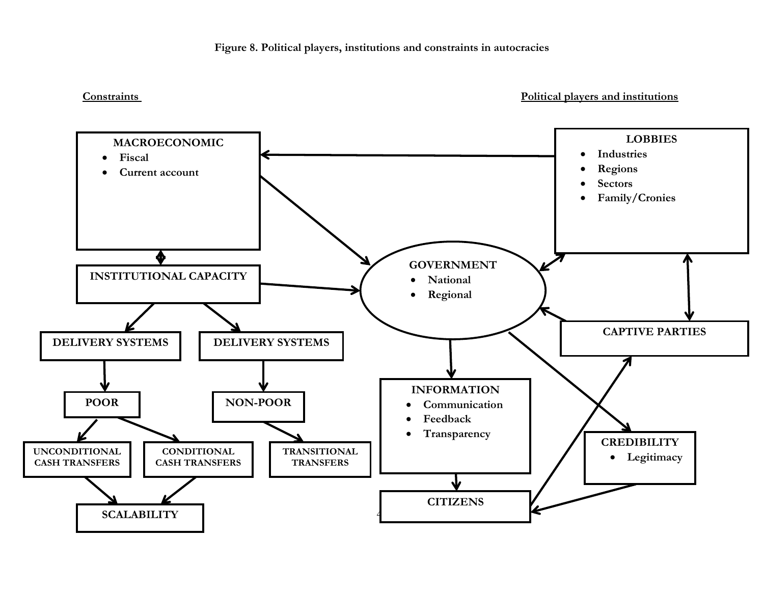#### **Figure 8. Political players, institutions and constraints in autocracies**

**Constraints Political players and institutions**

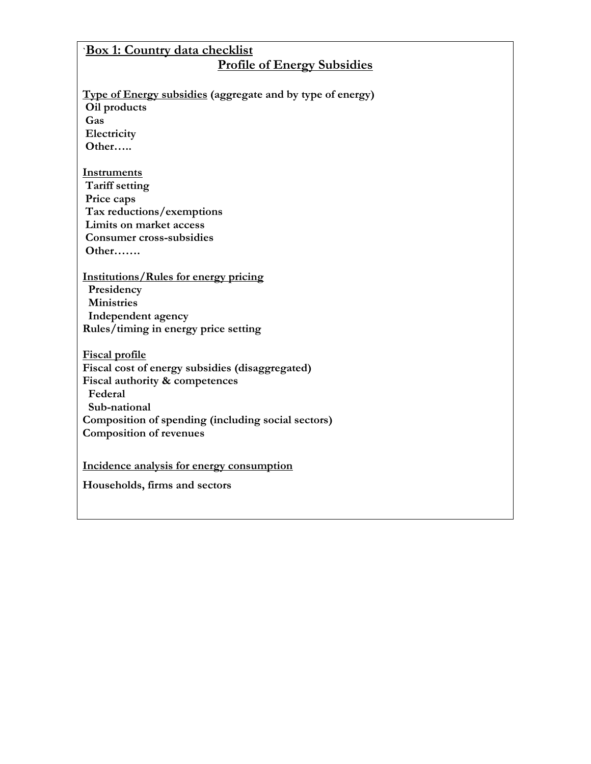# **`Box 1: Country data checklist Profile of Energy Subsidies**

# **Type of Energy subsidies (aggregate and by type of energy)**

**Oil products Gas**

**Electricity Other…..**

#### **Instruments**

**Tariff setting Price caps Tax reductions/exemptions Limits on market access Consumer cross-subsidies Other…….**

**Institutions/Rules for energy pricing Presidency Ministries Independent agency Rules/timing in energy price setting**

**Fiscal profile Fiscal cost of energy subsidies (disaggregated) Fiscal authority & competences Federal Sub-national Composition of spending (including social sectors) Composition of revenues** 

**Incidence analysis for energy consumption**

**Households, firms and sectors**